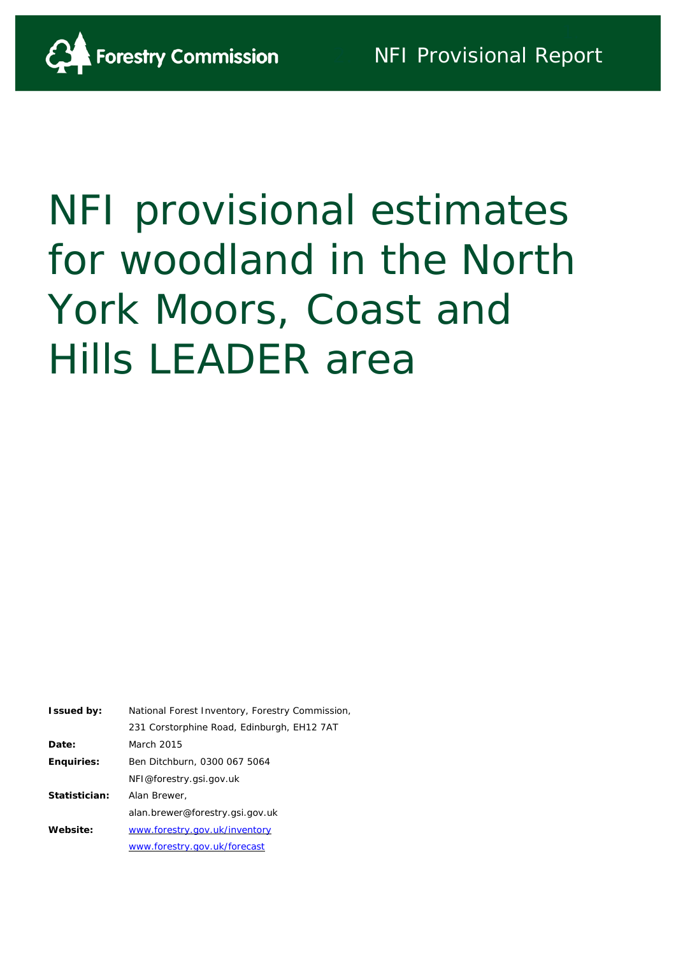

# NFI provisional estimates for woodland in the North York Moors, Coast and Hills LEADER area

**Issued by:** National Forest Inventory, Forestry Commission, 231 Corstorphine Road, Edinburgh, EH12 7AT **Date:** March 2015 **Enquiries:** Ben Ditchburn, 0300 067 5064 NFI@forestry.gsi.gov.uk **Statistician:** Alan Brewer, alan.brewer@forestry.gsi.gov.uk **Website:** [www.forestry.gov.uk/inventory](http://www.forestry.gov.uk/inventory) [www.forestry.gov.uk/forecast](http://www.forestry.gov.uk/forecast)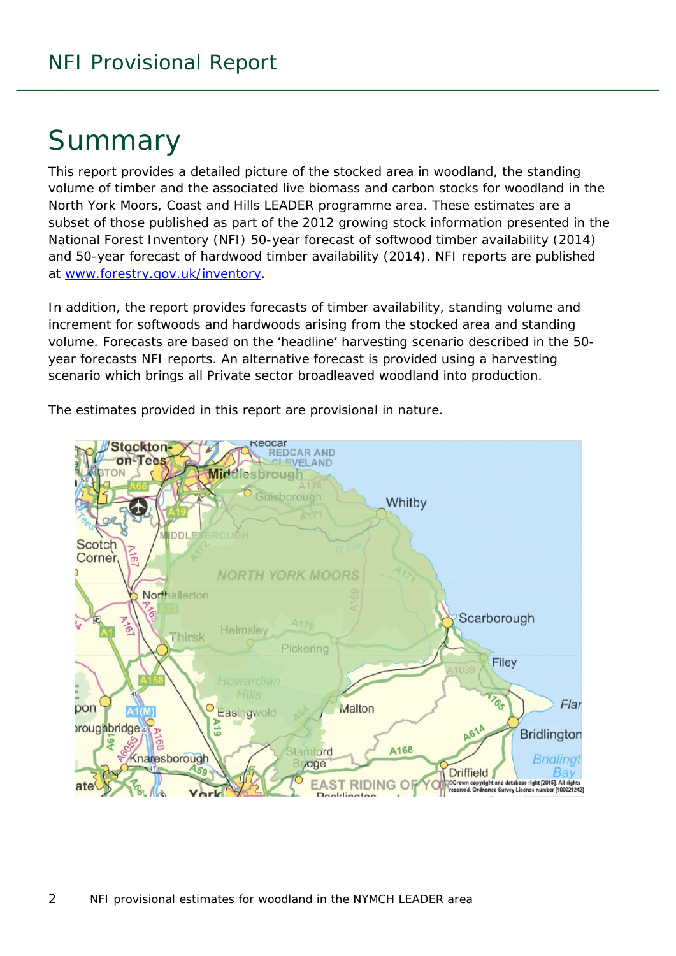# Summary

This report provides a detailed picture of the stocked area in woodland, the standing volume of timber and the associated live biomass and carbon stocks for woodland in the North York Moors, Coast and Hills LEADER programme area. These estimates are a subset of those published as part of the 2012 growing stock information presented in the National Forest Inventory (NFI) *50-year forecast of softwood timber availability* (2014) and *50-year forecast of hardwood timber availability* (2014). NFI reports are published at [www.forestry.gov.uk/inventory.](http://www.forestry.gov.uk/inventory)

In addition, the report provides forecasts of timber availability, standing volume and increment for softwoods and hardwoods arising from the stocked area and standing volume. Forecasts are based on the 'headline' harvesting scenario described in the 50 year forecasts NFI reports. An alternative forecast is provided using a harvesting scenario which brings all Private sector broadleaved woodland into production.

The estimates provided in this report are provisional in nature.

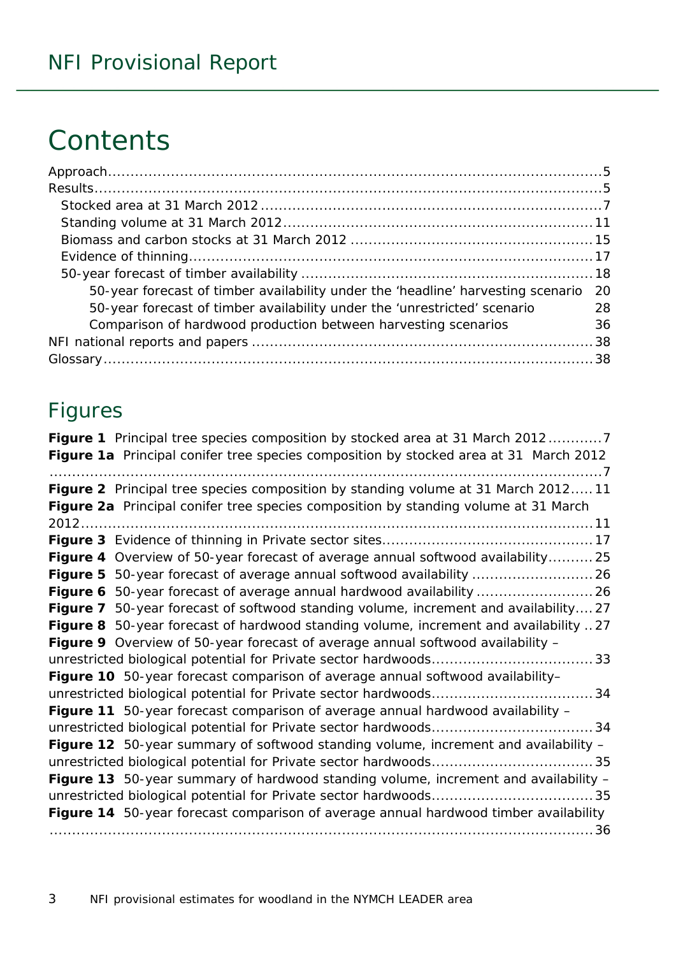# **Contents**

| 50-year forecast of timber availability under the 'headline' harvesting scenario | -20 |
|----------------------------------------------------------------------------------|-----|
| 50-year forecast of timber availability under the 'unrestricted' scenario        | 28  |
| Comparison of hardwood production between harvesting scenarios                   | 36  |
|                                                                                  |     |
|                                                                                  |     |

### Figures

| Figure 1 Principal tree species composition by stocked area at 31 March 20127         |
|---------------------------------------------------------------------------------------|
| Figure 1a Principal conifer tree species composition by stocked area at 31 March 2012 |
|                                                                                       |
| Figure 2 Principal tree species composition by standing volume at 31 March 201211     |
| Figure 2a Principal conifer tree species composition by standing volume at 31 March   |
|                                                                                       |
|                                                                                       |
| Figure 4 Overview of 50-year forecast of average annual softwood availability 25      |
|                                                                                       |
| Figure 6 50-year forecast of average annual hardwood availability  26                 |
| Figure 7 50-year forecast of softwood standing volume, increment and availability27   |
| Figure 8 50-year forecast of hardwood standing volume, increment and availability 27  |
| Figure 9 Overview of 50-year forecast of average annual softwood availability -       |
|                                                                                       |
| Figure 10 50-year forecast comparison of average annual softwood availability-        |
|                                                                                       |
| Figure 11 50-year forecast comparison of average annual hardwood availability -       |
|                                                                                       |
| Figure 12 50-year summary of softwood standing volume, increment and availability -   |
|                                                                                       |
| Figure 13 50-year summary of hardwood standing volume, increment and availability -   |
|                                                                                       |
| Figure 14 50-year forecast comparison of average annual hardwood timber availability  |
|                                                                                       |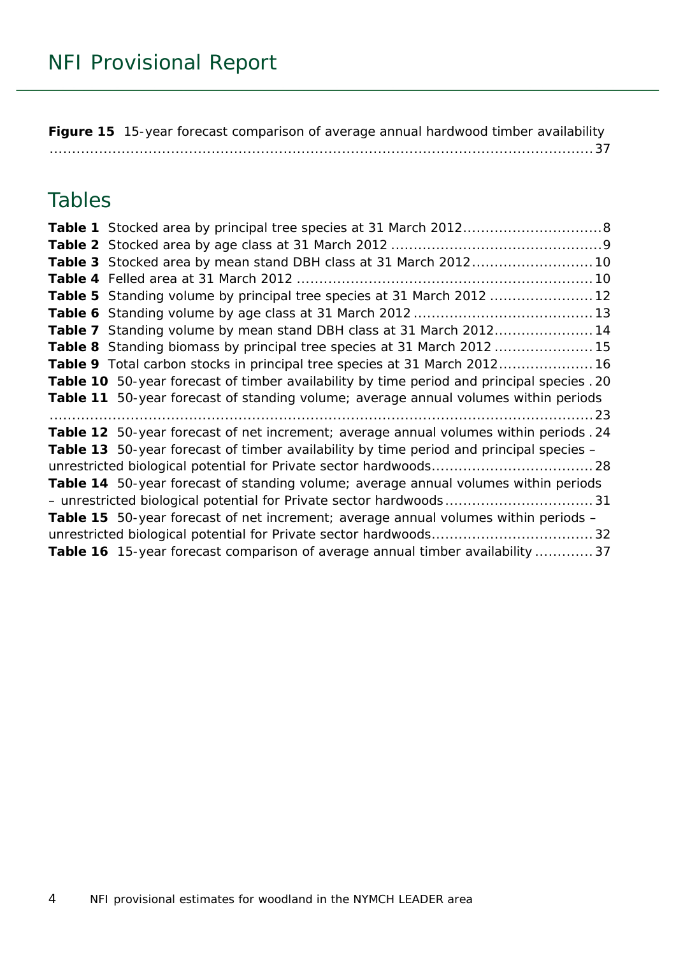**Figure 15** [15-year forecast comparison of average annual hardwood timber availability](#page-36-0) [.........................................................................................................................37](#page-36-0)

### Tables

| Table 3 Stocked area by mean stand DBH class at 31 March 2012 10                           |
|--------------------------------------------------------------------------------------------|
|                                                                                            |
| Table 5 Standing volume by principal tree species at 31 March 2012  12                     |
|                                                                                            |
| Table 7 Standing volume by mean stand DBH class at 31 March 201214                         |
| Table 8 Standing biomass by principal tree species at 31 March 2012  15                    |
| Table 9 Total carbon stocks in principal tree species at 31 March 2012 16                  |
| Table 10 50-year forecast of timber availability by time period and principal species . 20 |
| Table 11 50-year forecast of standing volume; average annual volumes within periods        |
|                                                                                            |
| Table 12 50-year forecast of net increment; average annual volumes within periods . 24     |
| Table 13 50-year forecast of timber availability by time period and principal species -    |
|                                                                                            |
| Table 14 50-year forecast of standing volume; average annual volumes within periods        |
|                                                                                            |
| <b>Table 15</b> 50-year forecast of net increment; average annual volumes within periods - |
|                                                                                            |
| Table 16 15-year forecast comparison of average annual timber availability  37             |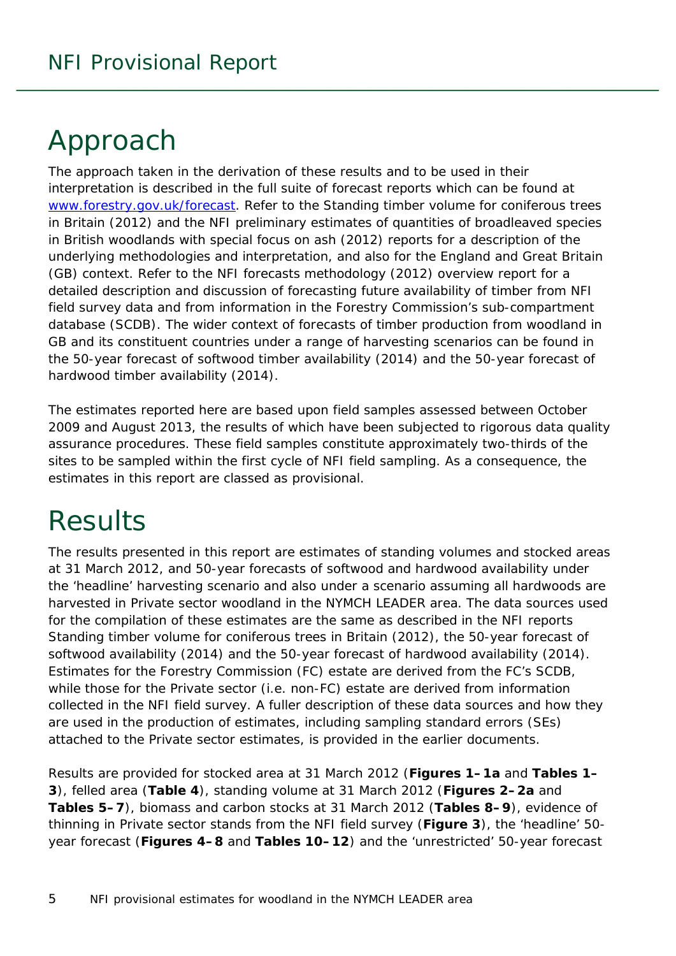# <span id="page-4-0"></span>Approach

The approach taken in the derivation of these results and to be used in their interpretation is described in the full suite of forecast reports which can be found at [www.forestry.gov.uk/forecast.](http://www.forestry.gov.uk/forecast) Refer to the *Standing timber volume for coniferous trees in Britain* (2012) and the *NFI preliminary estimates of quantities of broadleaved species in British woodlands with special focus on ash* (2012) reports for a description of the underlying methodologies and interpretation, and also for the England and Great Britain (GB) context. Refer to the *NFI forecasts methodology* (2012) overview report for a detailed description and discussion of forecasting future availability of timber from NFI field survey data and from information in the Forestry Commission's sub-compartment database (SCDB). The wider context of forecasts of timber production from woodland in GB and its constituent countries under a range of harvesting scenarios can be found in the *50-year forecast of softwood timber availability* (2014) and the *50-year forecast of hardwood timber availability* (2014).

The estimates reported here are based upon field samples assessed between October 2009 and August 2013, the results of which have been subjected to rigorous data quality assurance procedures. These field samples constitute approximately two-thirds of the sites to be sampled within the first cycle of NFI field sampling. As a consequence, the estimates in this report are classed as provisional.

# <span id="page-4-1"></span>**Results**

The results presented in this report are estimates of standing volumes and stocked areas at 31 March 2012, and 50-year forecasts of softwood and hardwood availability under the 'headline' harvesting scenario and also under a scenario assuming all hardwoods are harvested in Private sector woodland in the NYMCH LEADER area. The data sources used for the compilation of these estimates are the same as described in the NFI reports *Standing timber volume for coniferous trees in Britain* (2012), the *50-year forecast of softwood availability* (2014) and the *50-year forecast of hardwood availability* (2014). Estimates for the Forestry Commission (FC) estate are derived from the FC's SCDB, while those for the Private sector (i.e. non-FC) estate are derived from information collected in the NFI field survey. A fuller description of these data sources and how they are used in the production of estimates, including sampling standard errors (SEs) attached to the Private sector estimates, is provided in the earlier documents.

Results are provided for stocked area at 31 March 2012 (**Figures 1–1a** and **Tables 1– 3**), felled area (**Table 4**), standing volume at 31 March 2012 (**Figures 2–2a** and **Tables 5–7**), biomass and carbon stocks at 31 March 2012 (**Tables 8–9**), evidence of thinning in Private sector stands from the NFI field survey (**Figure 3**), the 'headline' 50 year forecast (**Figures 4–8** and **Tables 10–12**) and the 'unrestricted' 50-year forecast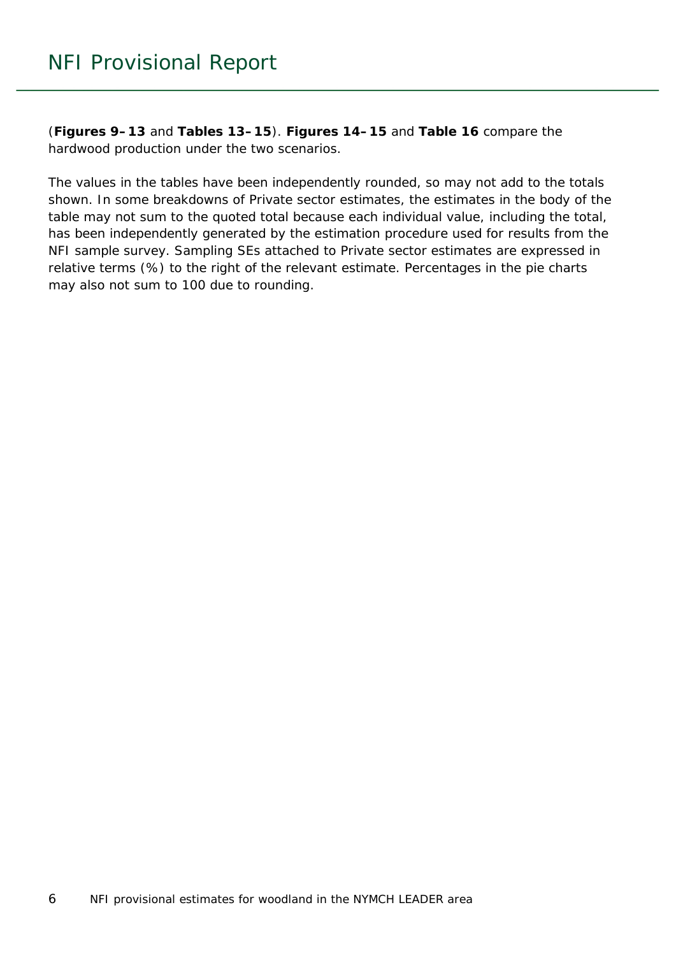(**Figures 9–13** and **Tables 13–15**). **Figures 14–15** and **Table 16** compare the hardwood production under the two scenarios.

The values in the tables have been independently rounded, so may not add to the totals shown. In some breakdowns of Private sector estimates, the estimates in the body of the table may not sum to the quoted total because each individual value, including the total, has been independently generated by the estimation procedure used for results from the NFI sample survey. Sampling SEs attached to Private sector estimates are expressed in relative terms (%) to the right of the relevant estimate. Percentages in the pie charts may also not sum to 100 due to rounding.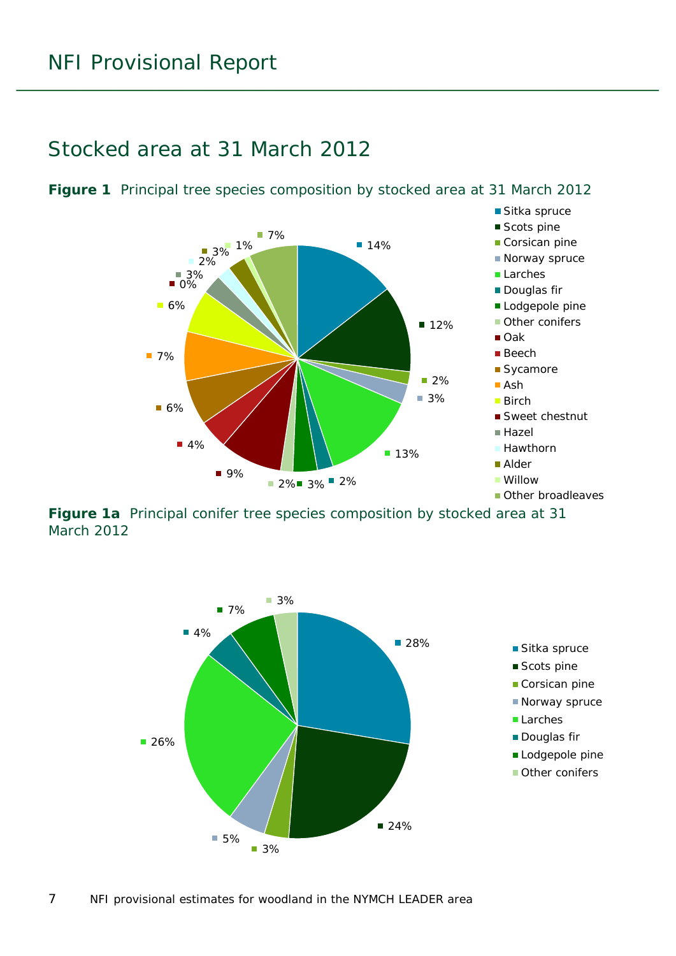### <span id="page-6-0"></span>Stocked area at 31 March 2012



<span id="page-6-1"></span>**Figure 1** Principal tree species composition by stocked area at 31 March 2012

<span id="page-6-2"></span>**Figure 1a** Principal conifer tree species composition by stocked area at 31 March 2012

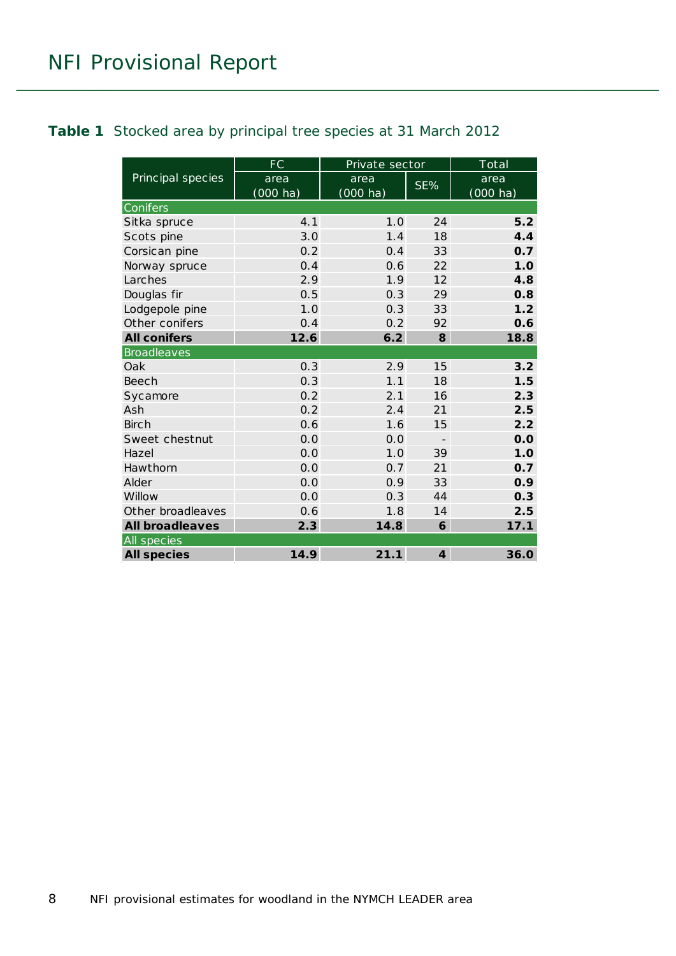#### <span id="page-7-0"></span>**Table 1** Stocked area by principal tree species at 31 March 2012

|                        | FC                 | Private sector     |                          | Total              |
|------------------------|--------------------|--------------------|--------------------------|--------------------|
| Principal species      | area               | area               | SE%                      | area               |
|                        | $(000 \text{ ha})$ | $(000 \text{ ha})$ |                          | $(000 \text{ ha})$ |
| Conifers               |                    |                    |                          |                    |
| Sitka spruce           | 4.1                | 1.0                | 24                       | 5.2                |
| Scots pine             | 3.0                | 1.4                | 18                       | 4.4                |
| Corsican pine          | 0.2                | 0.4                | 33                       | 0.7                |
| Norway spruce          | 0.4                | 0.6                | 22                       | 1.0                |
| Larches                | 2.9                | 1.9                | 12                       | 4.8                |
| Douglas fir            | 0.5                | 0.3                | 29                       | 0.8                |
| Lodgepole pine         | 1.0                | 0.3                | 33                       | 1.2                |
| Other conifers         | 0.4                | 0.2                | 92                       | 0.6                |
| <b>All conifers</b>    | 12.6               | 6.2                | 8                        | 18.8               |
| <b>Broadleaves</b>     |                    |                    |                          |                    |
| Oak                    | 0.3                | 2.9                | 15                       | 3.2                |
| Beech                  | 0.3                | 1.1                | 18                       | 1.5                |
| Sycamore               | 0.2                | 2.1                | 16                       | 2.3                |
| Ash                    | 0.2                | 2.4                | 21                       | 2.5                |
| <b>Birch</b>           | 0.6                | 1.6                | 15                       | 2.2                |
| Sweet chestnut         | 0.0                | 0.0                | $\overline{\phantom{m}}$ | 0.0                |
| Hazel                  | 0.0                | 1.0                | 39                       | 1.0                |
| Hawthorn               | 0.0                | 0.7                | 21                       | 0.7                |
| Alder                  | 0.0                | 0.9                | 33                       | 0.9                |
| Willow                 | 0.0                | 0.3                | 44                       | 0.3                |
| Other broadleaves      | 0.6                | 1.8                | 14                       | 2.5                |
| <b>All broadleaves</b> | 2.3                | 14.8               | 6                        | 17.1               |
| All species            |                    |                    |                          |                    |
| <b>All species</b>     | 14.9               | 21.1               | $\overline{4}$           | 36.0               |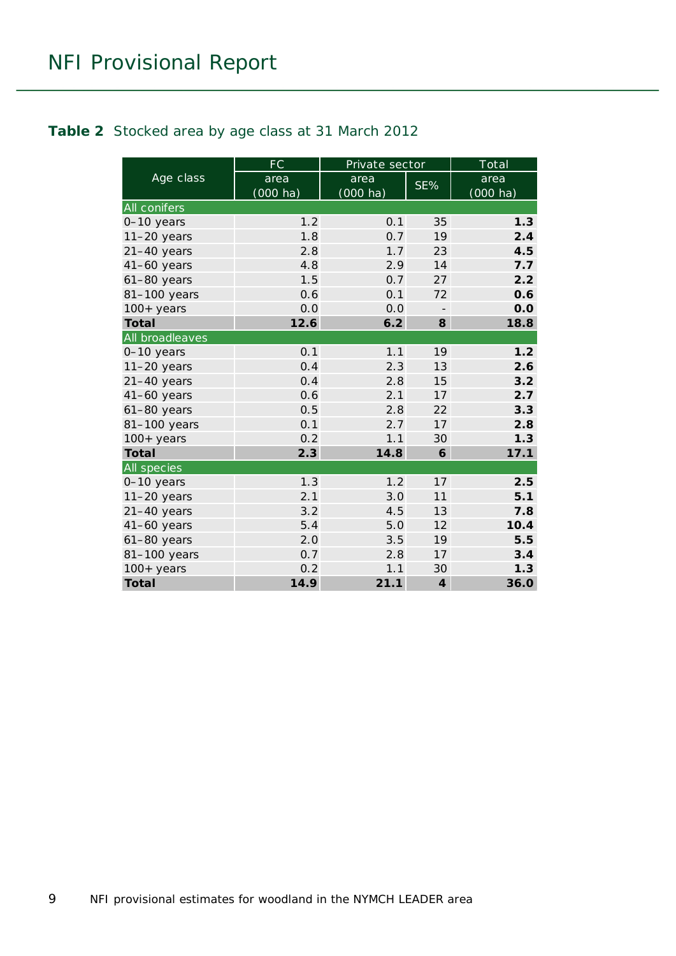#### <span id="page-8-0"></span>**Table 2** Stocked area by age class at 31 March 2012

|                 | FC                         | Private sector             |                         | Total                      |
|-----------------|----------------------------|----------------------------|-------------------------|----------------------------|
| Age class       | area<br>$(000 \text{ ha})$ | area<br>$(000 \text{ ha})$ | SE%                     | area<br>$(000 \text{ ha})$ |
| All conifers    |                            |                            |                         |                            |
| 0-10 years      | 1.2                        | 0.1                        | 35                      | 1.3                        |
| $11-20$ years   | 1.8                        | 0.7                        | 19                      | 2.4                        |
| $21-40$ years   | 2.8                        | 1.7                        | 23                      | 4.5                        |
| $41-60$ years   | 4.8                        | 2.9                        | 14                      | 7.7                        |
| $61-80$ years   | 1.5                        | 0.7                        | 27                      | 2.2                        |
| 81-100 years    | 0.6                        | 0.1                        | 72                      | 0.6                        |
| $100+$ years    | 0.0                        | 0.0                        |                         | 0.0                        |
| <b>Total</b>    | 12.6                       | 6.2                        | 8                       | 18.8                       |
| All broadleaves |                            |                            |                         |                            |
| 0-10 years      | 0.1                        | 1.1                        | 19                      | 1.2                        |
| $11-20$ years   | 0.4                        | 2.3                        | 13                      | 2.6                        |
| $21-40$ years   | 0.4                        | 2.8                        | 15                      | 3.2                        |
| $41-60$ years   | 0.6                        | 2.1                        | 17                      | 2.7                        |
| $61-80$ years   | 0.5                        | 2.8                        | 22                      | 3.3                        |
| 81-100 years    | 0.1                        | 2.7                        | 17                      | 2.8                        |
| $100+$ years    | 0.2                        | 1.1                        | 30                      | 1.3                        |
| <b>Total</b>    | 2.3                        | 14.8                       | 6                       | 17.1                       |
| All species     |                            |                            |                         |                            |
| 0-10 years      | 1.3                        | 1.2                        | 17                      | 2.5                        |
| $11-20$ years   | 2.1                        | 3.0                        | 11                      | 5.1                        |
| $21-40$ years   | 3.2                        | 4.5                        | 13                      | 7.8                        |
| $41-60$ years   | 5.4                        | 5.0                        | 12                      | 10.4                       |
| $61-80$ years   | 2.0                        | 3.5                        | 19                      | 5.5                        |
| 81-100 years    | 0.7                        | 2.8                        | 17                      | 3.4                        |
| $100+$ years    | 0.2                        | 1.1                        | 30                      | 1.3                        |
| <b>Total</b>    | 14.9                       | 21.1                       | $\overline{\mathbf{4}}$ | 36.0                       |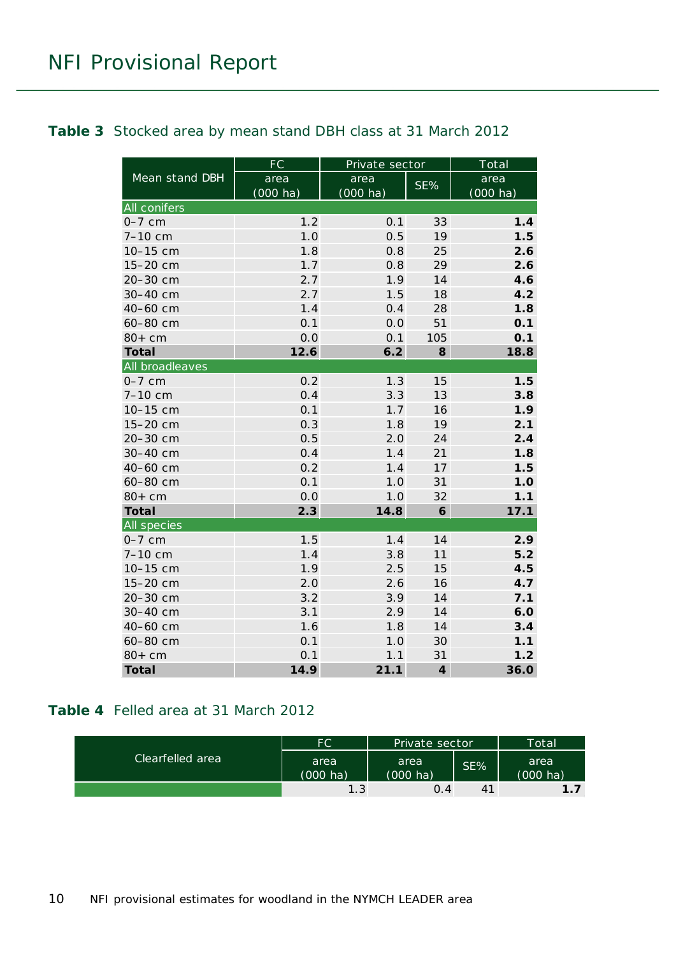#### <span id="page-9-0"></span>**Table 3** Stocked area by mean stand DBH class at 31 March 2012

|                     | FC                 | Private sector     |                  | Total              |
|---------------------|--------------------|--------------------|------------------|--------------------|
| Mean stand DBH      | area               | area               | SE%              | area               |
|                     | $(000 \text{ ha})$ | $(000 \text{ ha})$ |                  | $(000 \text{ ha})$ |
| <b>All conifers</b> |                    |                    |                  |                    |
| $0-7$ cm            | 1.2                | 0.1                | 33               | 1.4                |
| $7 - 10$ cm         | 1.0                | 0.5                | 19               | 1.5                |
| 10-15 cm            | 1.8                | 0.8                | 25               | 2.6                |
| 15-20 cm            | 1.7                | 0.8                | 29               | 2.6                |
| 20-30 cm            | 2.7                | 1.9                | 14               | 4.6                |
| 30-40 cm            | 2.7                | 1.5                | 18               | 4.2                |
| 40-60 cm            | 1.4                | 0.4                | 28               | 1.8                |
| 60-80 cm            | 0.1                | 0.0                | 51               | 0.1                |
| $80+cm$             | 0.0                | 0.1                | 105              | 0.1                |
| <b>Total</b>        | 12.6               | 6.2                | 8                | 18.8               |
| All broadleaves     |                    |                    |                  |                    |
| $0-7$ cm            | 0.2                | 1.3                | 15               | 1.5                |
| $7 - 10$ cm         | 0.4                | 3.3                | 13               | 3.8                |
| 10-15 cm            | 0.1                | 1.7                | 16               | 1.9                |
| 15-20 cm            | 0.3                | 1.8                | 19               | 2.1                |
| 20-30 cm            | 0.5                | 2.0                | 24               | 2.4                |
| 30-40 cm            | 0.4                | 1.4                | 21               | 1.8                |
| 40-60 cm            | 0.2                | 1.4                | 17               | 1.5                |
| 60-80 cm            | 0.1                | 1.0                | 31               | 1.0                |
| $80+cm$             | 0.0                | 1.0                | 32               | 1.1                |
| <b>Total</b>        | 2.3                | 14.8               | 6                | 17.1               |
| All species         |                    |                    |                  |                    |
| $0-7$ cm            | 1.5                | 1.4                | 14               | 2.9                |
| $7 - 10$ cm         | 1.4                | 3.8                | 11               | 5.2                |
| 10-15 cm            | 1.9                | 2.5                | 15               | 4.5                |
| 15-20 cm            | 2.0                | 2.6                | 16               | 4.7                |
| 20-30 cm            | 3.2                | 3.9                | 14               | 7.1                |
| 30-40 cm            | 3.1                | 2.9                | 14               | 6.0                |
| 40-60 cm            | 1.6                | 1.8                | 14               | 3.4                |
| 60-80 cm            | 0.1                | 1.0                | 30               | 1.1                |
| $80+cm$             | 0.1                | 1.1                | 31               | 1.2                |
| <b>Total</b>        | 14.9               | 21.1               | $\boldsymbol{4}$ | 36.0               |

#### <span id="page-9-1"></span>**Table 4** Felled area at 31 March 2012

|                  | FC               | Private sector             |     | Total                                 |
|------------------|------------------|----------------------------|-----|---------------------------------------|
| Clearfelled area | area<br>(000 ha) | area<br>$(000 \text{ ha})$ | SE% | area<br>(000 ha)                      |
|                  | 1.3 <sub>1</sub> | 0.4                        | 41  | $\begin{array}{c} 1 \\ 7 \end{array}$ |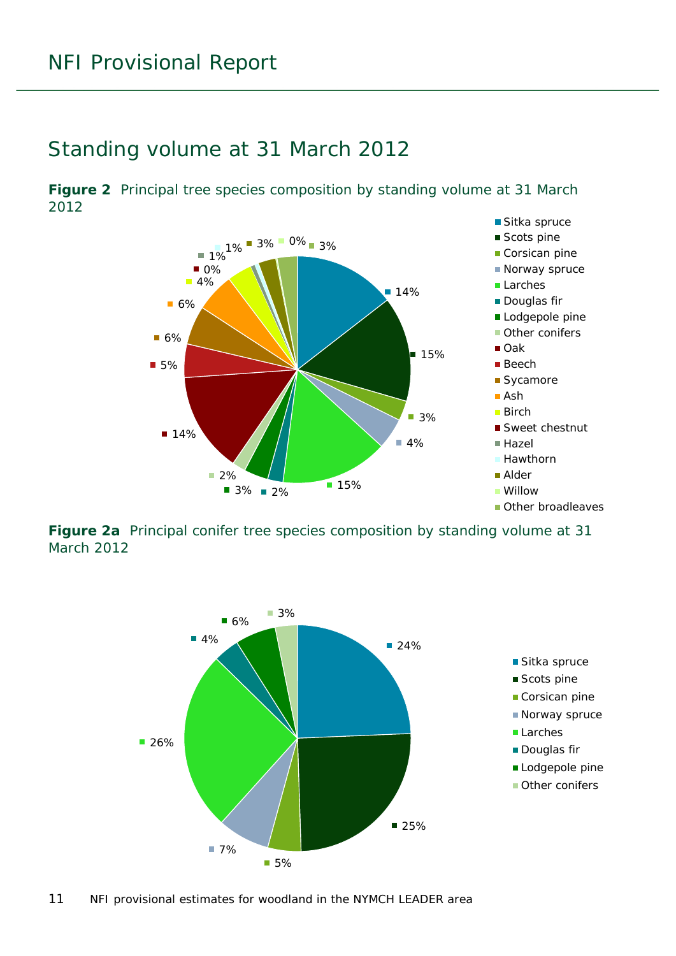### <span id="page-10-0"></span>Standing volume at 31 March 2012

<span id="page-10-1"></span>**Figure 2** Principal tree species composition by standing volume at 31 March 2012



<span id="page-10-2"></span>**Figure 2a** Principal conifer tree species composition by standing volume at 31 March 2012

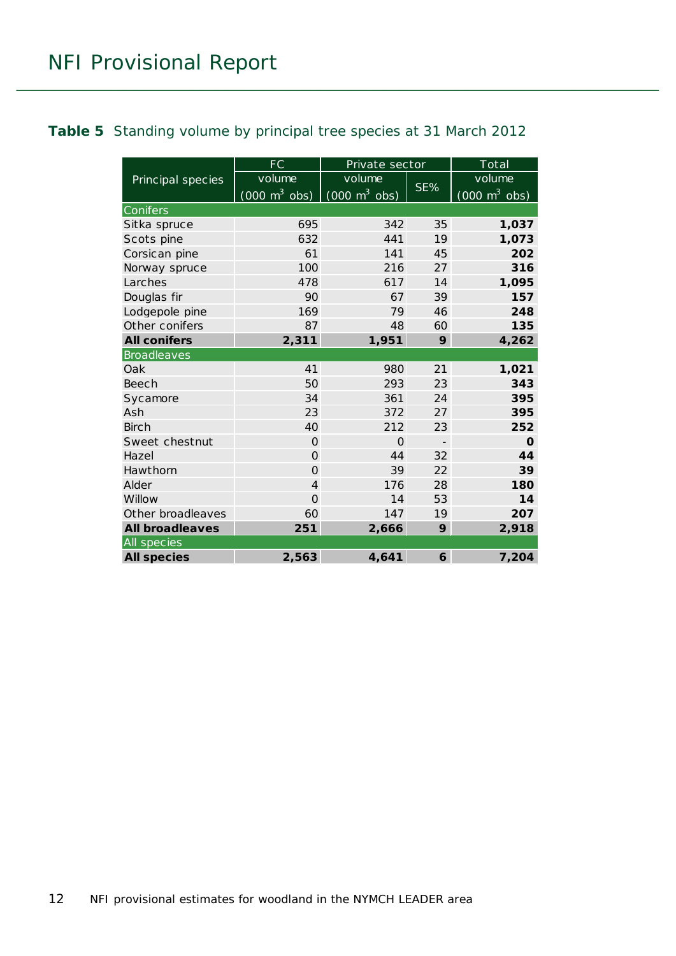#### <span id="page-11-0"></span>**Table 5** Standing volume by principal tree species at 31 March 2012

|                        | FC                              | Private sector                  |                          | Total                           |
|------------------------|---------------------------------|---------------------------------|--------------------------|---------------------------------|
| Principal species      | volume                          | volume                          |                          | volume                          |
|                        | $(000 \text{ m}^3 \text{ obs})$ | $(000 \text{ m}^3 \text{ obs})$ | SE%                      | $(000 \text{ m}^3 \text{ obs})$ |
| Conifers               |                                 |                                 |                          |                                 |
| Sitka spruce           | 695                             | 342                             | 35                       | 1,037                           |
| Scots pine             | 632                             | 441                             | 19                       | 1,073                           |
| Corsican pine          | 61                              | 141                             | 45                       | 202                             |
| Norway spruce          | 100                             | 216                             | 27                       | 316                             |
| Larches                | 478                             | 617                             | 14                       | 1,095                           |
| Douglas fir            | 90                              | 67                              | 39                       | 157                             |
| Lodgepole pine         | 169                             | 79                              | 46                       | 248                             |
| Other conifers         | 87                              | 48                              | 60                       | 135                             |
| <b>All conifers</b>    | 2,311                           | 1,951                           | 9                        | 4,262                           |
| <b>Broadleaves</b>     |                                 |                                 |                          |                                 |
| Oak                    | 41                              | 980                             | 21                       | 1,021                           |
| <b>Beech</b>           | 50                              | 293                             | 23                       | 343                             |
| Sycamore               | 34                              | 361                             | 24                       | 395                             |
| Ash                    | 23                              | 372                             | 27                       | 395                             |
| <b>Birch</b>           | 40                              | 212                             | 23                       | 252                             |
| Sweet chestnut         | $\Omega$                        | $\Omega$                        | $\overline{\phantom{a}}$ | $\mathbf 0$                     |
| Hazel                  | $\Omega$                        | 44                              | 32                       | 44                              |
| Hawthorn               | $\Omega$                        | 39                              | 22                       | 39                              |
| Alder                  | $\overline{4}$                  | 176                             | 28                       | 180                             |
| Willow                 | $\overline{O}$                  | 14                              | 53                       | 14                              |
| Other broadleaves      | 60                              | 147                             | 19                       | 207                             |
| <b>All broadleaves</b> | 251                             | 2,666                           | 9                        | 2,918                           |
| All species            |                                 |                                 |                          |                                 |
| <b>All species</b>     | 2,563                           | 4,641                           | 6                        | 7,204                           |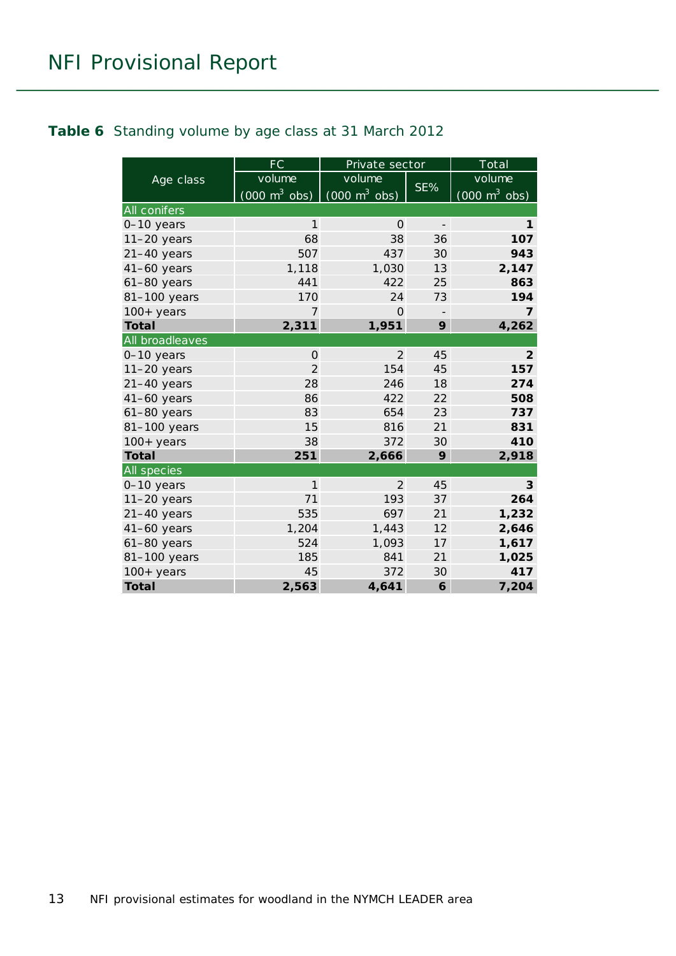#### <span id="page-12-0"></span>**Table 6** Standing volume by age class at 31 March 2012

|                 | <b>FC</b>                       | Private sector                  |                          | Total                           |
|-----------------|---------------------------------|---------------------------------|--------------------------|---------------------------------|
| Age class       | volume                          | volume                          |                          | volume                          |
|                 | $(000 \text{ m}^3 \text{ obs})$ | $(000 \text{ m}^3 \text{ obs})$ | SE%                      | $(000 \text{ m}^3 \text{ obs})$ |
| All conifers    |                                 |                                 |                          |                                 |
| 0-10 years      | $\mathbf{1}$                    | $\Omega$                        | $\overline{\phantom{a}}$ | 1                               |
| $11-20$ years   | 68                              | 38                              | 36                       | 107                             |
| $21-40$ years   | 507                             | 437                             | 30                       | 943                             |
| 41-60 years     | 1,118                           | 1,030                           | 13                       | 2,147                           |
| $61-80$ years   | 441                             | 422                             | 25                       | 863                             |
| 81-100 years    | 170                             | 24                              | 73                       | 194                             |
| $100+$ years    | 7                               | $\Omega$                        |                          | $\overline{7}$                  |
| <b>Total</b>    | 2,311                           | 1,951                           | 9                        | 4,262                           |
| All broadleaves |                                 |                                 |                          |                                 |
| 0-10 years      | $\Omega$                        | 2                               | 45                       | $\overline{2}$                  |
| $11-20$ years   | $\overline{2}$                  | 154                             | 45                       | 157                             |
| $21-40$ years   | 28                              | 246                             | 18                       | 274                             |
| 41-60 years     | 86                              | 422                             | 22                       | 508                             |
| $61-80$ years   | 83                              | 654                             | 23                       | 737                             |
| 81-100 years    | 15                              | 816                             | 21                       | 831                             |
| $100+$ years    | 38                              | 372                             | 30                       | 410                             |
| <b>Total</b>    | 251                             | 2,666                           | 9                        | 2,918                           |
| All species     |                                 |                                 |                          |                                 |
| 0-10 years      | $\mathbf{1}$                    | 2                               | 45                       | 3                               |
| $11-20$ years   | 71                              | 193                             | 37                       | 264                             |
| $21-40$ years   | 535                             | 697                             | 21                       | 1,232                           |
| $41-60$ years   | 1,204                           | 1,443                           | 12                       | 2,646                           |
| $61-80$ years   | 524                             | 1,093                           | 17                       | 1,617                           |
| 81-100 years    | 185                             | 841                             | 21                       | 1,025                           |
| $100+years$     | 45                              | 372                             | 30                       | 417                             |
| <b>Total</b>    | 2,563                           | 4,641                           | 6                        | 7,204                           |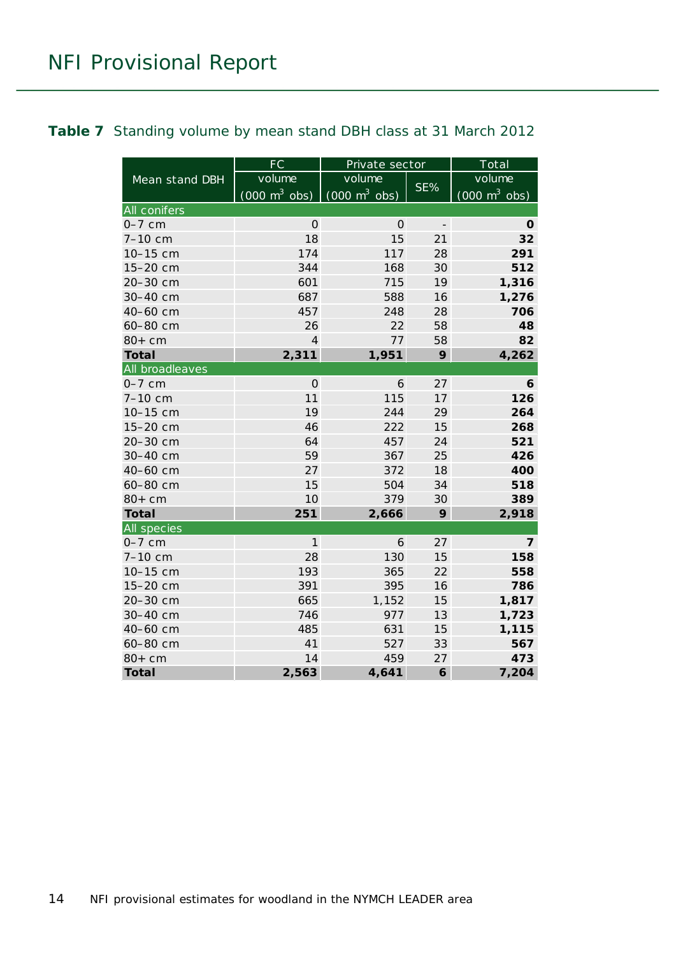#### <span id="page-13-0"></span>**Table 7** Standing volume by mean stand DBH class at 31 March 2012

|                     | <b>FC</b>                       | Private sector                  |                          | Total                           |
|---------------------|---------------------------------|---------------------------------|--------------------------|---------------------------------|
| Mean stand DBH      | volume                          | volume                          |                          | volume                          |
|                     | $(000 \text{ m}^3 \text{ obs})$ | $(000 \text{ m}^3 \text{ obs})$ | SE%                      | $(000 \text{ m}^3 \text{ obs})$ |
| <b>All conifers</b> |                                 |                                 |                          |                                 |
| $0-7$ cm            | $\Omega$                        | $\Omega$                        | $\overline{\phantom{a}}$ | 0                               |
| 7-10 cm             | 18                              | 15                              | 21                       | 32                              |
| 10-15 cm            | 174                             | 117                             | 28                       | 291                             |
| 15-20 cm            | 344                             | 168                             | 30                       | 512                             |
| 20-30 cm            | 601                             | 715                             | 19                       | 1,316                           |
| 30-40 cm            | 687                             | 588                             | 16                       | 1,276                           |
| 40-60 cm            | 457                             | 248                             | 28                       | 706                             |
| 60-80 cm            | 26                              | 22                              | 58                       | 48                              |
| $80+cm$             | $\overline{4}$                  | 77                              | 58                       | 82                              |
| <b>Total</b>        | 2,311                           | 1,951                           | 9                        | 4,262                           |
| All broadleaves     |                                 |                                 |                          |                                 |
| $0-7$ cm            | $\overline{O}$                  | 6                               | 27                       | 6                               |
| 7-10 cm             | 11                              | 115                             | 17                       | 126                             |
| 10-15 cm            | 19                              | 244                             | 29                       | 264                             |
| 15-20 cm            | 46                              | 222                             | 15                       | 268                             |
| 20-30 cm            | 64                              | 457                             | 24                       | 521                             |
| 30-40 cm            | 59                              | 367                             | 25                       | 426                             |
| 40-60 cm            | 27                              | 372                             | 18                       | 400                             |
| 60-80 cm            | 15                              | 504                             | 34                       | 518                             |
| $80+cm$             | 10                              | 379                             | 30                       | 389                             |
| <b>Total</b>        | 251                             | 2,666                           | 9                        | 2,918                           |
| All species         |                                 |                                 |                          |                                 |
| $0-7$ cm            | 1                               | 6                               | 27                       | $\overline{7}$                  |
| 7-10 cm             | 28                              | 130                             | 15                       | 158                             |
| 10-15 cm            | 193                             | 365                             | 22                       | 558                             |
| 15-20 cm            | 391                             | 395                             | 16                       | 786                             |
| 20-30 cm            | 665                             | 1,152                           | 15                       | 1,817                           |
| 30-40 cm            | 746                             | 977                             | 13                       | 1,723                           |
| 40-60 cm            | 485                             | 631                             | 15                       | 1,115                           |
| 60-80 cm            | 41                              | 527                             | 33                       | 567                             |
| $80+cm$             | 14                              | 459                             | 27                       | 473                             |
| <b>Total</b>        | 2,563                           | 4,641                           | 6                        | 7,204                           |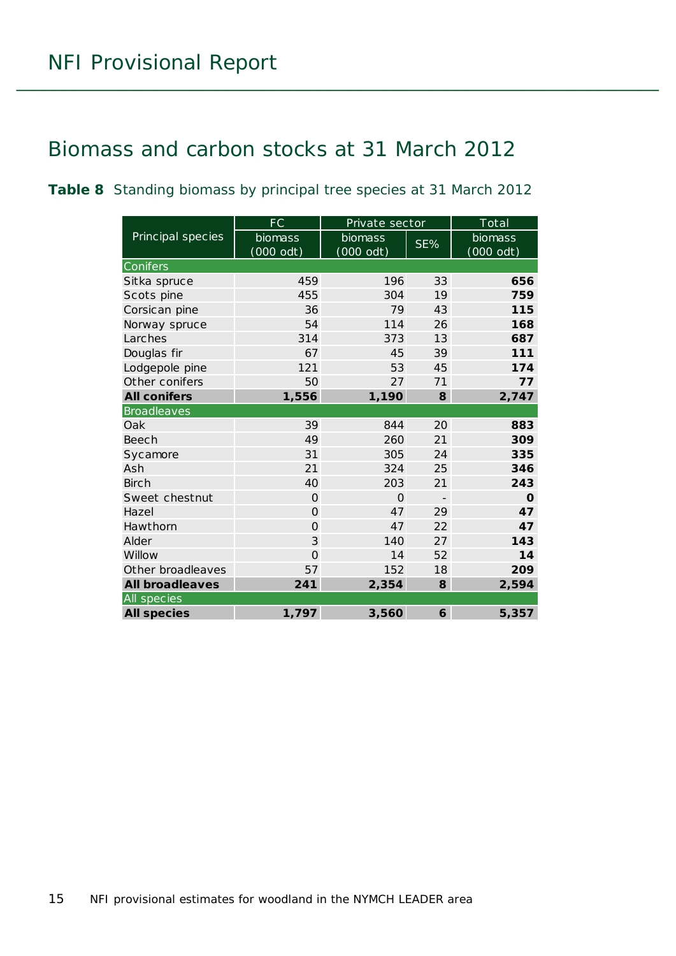### <span id="page-14-0"></span>Biomass and carbon stocks at 31 March 2012

<span id="page-14-1"></span>**Table 8** Standing biomass by principal tree species at 31 March 2012

|                        | FC             | Private sector |                          | Total       |
|------------------------|----------------|----------------|--------------------------|-------------|
| Principal species      | biomass        | biomass        | SE%                      | biomass     |
|                        | (000 odt)      | $(000$ odt)    |                          | $(000$ odt) |
| Conifers               |                |                |                          |             |
| Sitka spruce           | 459            | 196            | 33                       | 656         |
| Scots pine             | 455            | 304            | 19                       | 759         |
| Corsican pine          | 36             | 79             | 43                       | 115         |
| Norway spruce          | 54             | 114            | 26                       | 168         |
| Larches                | 314            | 373            | 13                       | 687         |
| Douglas fir            | 67             | 45             | 39                       | 111         |
| Lodgepole pine         | 121            | 53             | 45                       | 174         |
| Other conifers         | 50             | 27             | 71                       | 77          |
| <b>All conifers</b>    | 1,556          | 1,190          | 8                        | 2,747       |
| <b>Broadleaves</b>     |                |                |                          |             |
| Oak                    | 39             | 844            | 20                       | 883         |
| Beech                  | 49             | 260            | 21                       | 309         |
| Sycamore               | 31             | 305            | 24                       | 335         |
| Ash                    | 21             | 324            | 25                       | 346         |
| <b>Birch</b>           | 40             | 203            | 21                       | 243         |
| Sweet chestnut         | $\Omega$       | $\Omega$       | $\overline{\phantom{a}}$ | $\mathbf O$ |
| Hazel                  | $\Omega$       | 47             | 29                       | 47          |
| Hawthorn               | $\overline{O}$ | 47             | 22                       | 47          |
| Alder                  | 3              | 140            | 27                       | 143         |
| Willow                 | $\overline{O}$ | 14             | 52                       | 14          |
| Other broadleaves      | 57             | 152            | 18                       | 209         |
| <b>All broadleaves</b> | 241            | 2,354          | 8                        | 2,594       |
| All species            |                |                |                          |             |
| <b>All species</b>     | 1,797          | 3,560          | 6                        | 5,357       |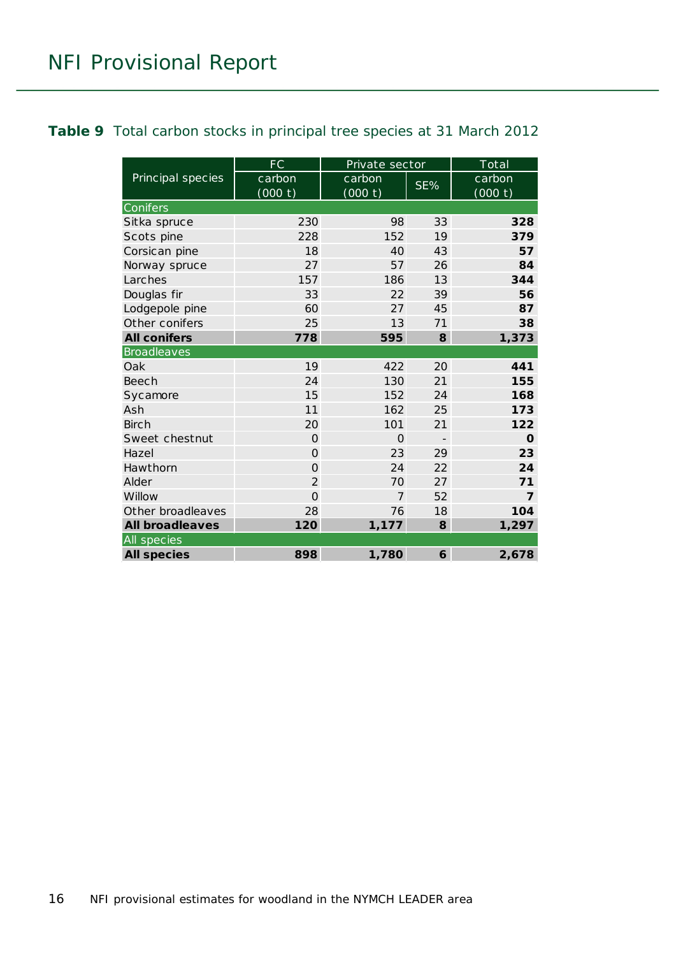#### <span id="page-15-0"></span>**Table 9** Total carbon stocks in principal tree species at 31 March 2012

|                        | FC                | Private sector    |     | Total             |
|------------------------|-------------------|-------------------|-----|-------------------|
| Principal species      | carbon<br>(000 t) | carbon<br>(000 t) | SE% | carbon<br>(000 t) |
| Conifers               |                   |                   |     |                   |
| Sitka spruce           | 230               | 98                | 33  | 328               |
| Scots pine             | 228               | 152               | 19  | 379               |
| Corsican pine          | 18                | 40                | 43  | 57                |
| Norway spruce          | 27                | 57                | 26  | 84                |
| Larches                | 157               | 186               | 13  | 344               |
| Douglas fir            | 33                | 22                | 39  | 56                |
| Lodgepole pine         | 60                | 27                | 45  | 87                |
| Other conifers         | 25                | 13                | 71  | 38                |
| <b>All conifers</b>    | 778               | 595               | 8   | 1,373             |
| <b>Broadleaves</b>     |                   |                   |     |                   |
| Oak                    | 19                | 422               | 20  | 441               |
| Beech                  | 24                | 130               | 21  | 155               |
| Sycamore               | 15                | 152               | 24  | 168               |
| Ash                    | 11                | 162               | 25  | 173               |
| Birch                  | 20                | 101               | 21  | 122               |
| Sweet chestnut         | $\Omega$          | $\Omega$          |     | O                 |
| Hazel                  | $\overline{O}$    | 23                | 29  | 23                |
| Hawthorn               | $\Omega$          | 24                | 22  | 24                |
| Alder                  | $\overline{2}$    | 70                | 27  | 71                |
| Willow                 | $\overline{O}$    | $\overline{7}$    | 52  | $\overline{7}$    |
| Other broadleaves      | 28                | 76                | 18  | 104               |
| <b>All broadleaves</b> | 120               | 1,177             | 8   | 1,297             |
| All species            |                   |                   |     |                   |
| <b>All species</b>     | 898               | 1,780             | 6   | 2,678             |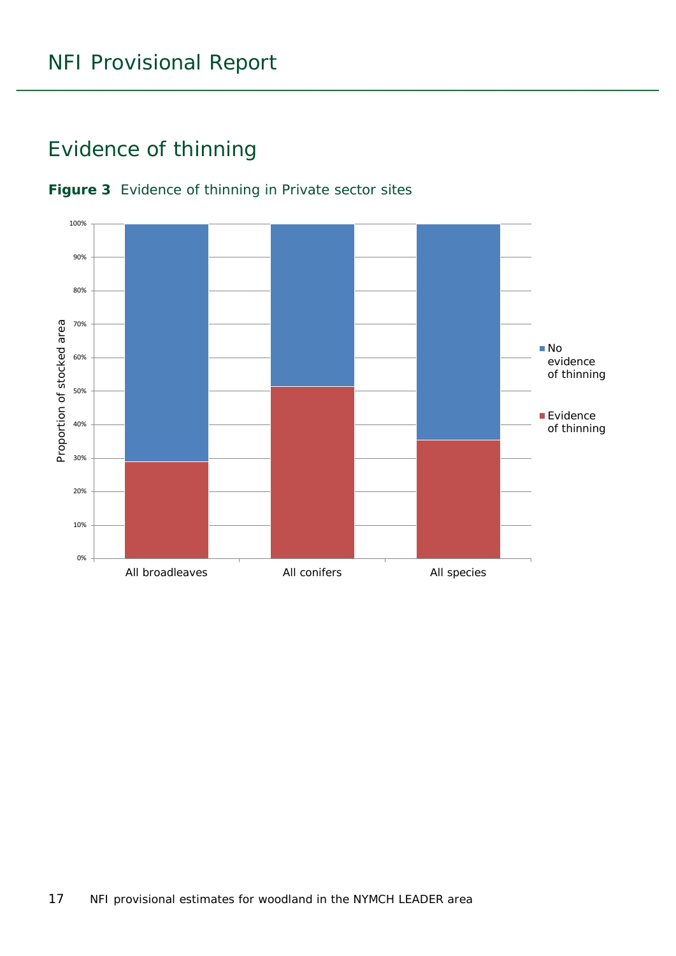### <span id="page-16-0"></span>Evidence of thinning



#### <span id="page-16-1"></span>**Figure 3** Evidence of thinning in Private sector sites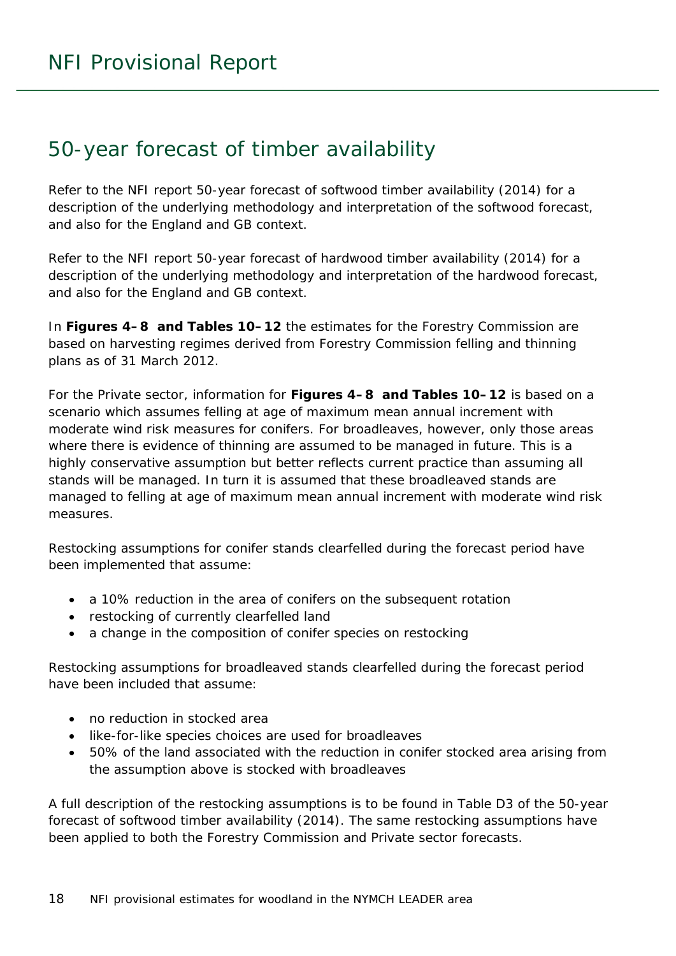### <span id="page-17-0"></span>50-year forecast of timber availability

Refer to the NFI report *50-year forecast of softwood timber availability* (2014) for a description of the underlying methodology and interpretation of the softwood forecast, and also for the England and GB context.

Refer to the NFI report *50-year forecast of hardwood timber availability* (2014) for a description of the underlying methodology and interpretation of the hardwood forecast, and also for the England and GB context.

In **Figures 4–8 and Tables 10–12** the estimates for the Forestry Commission are based on harvesting regimes derived from Forestry Commission felling and thinning plans as of 31 March 2012.

For the Private sector, information for **Figures 4–8 and Tables 10–12** is based on a scenario which assumes felling at age of maximum mean annual increment with moderate wind risk measures for conifers. For broadleaves, however, only those areas where there is evidence of thinning are assumed to be managed in future. This is a highly conservative assumption but better reflects current practice than assuming all stands will be managed. In turn it is assumed that these broadleaved stands are managed to felling at age of maximum mean annual increment with moderate wind risk measures.

Restocking assumptions for conifer stands clearfelled during the forecast period have been implemented that assume:

- a 10% reduction in the area of conifers on the subsequent rotation
- restocking of currently clearfelled land
- a change in the composition of conifer species on restocking

Restocking assumptions for broadleaved stands clearfelled during the forecast period have been included that assume:

- no reduction in stocked area
- like-for-like species choices are used for broadleaves
- 50% of the land associated with the reduction in conifer stocked area arising from the assumption above is stocked with broadleaves

A full description of the restocking assumptions is to be found in Table D3 of the *50-year forecast of softwood timber availability* (2014). The same restocking assumptions have been applied to both the Forestry Commission and Private sector forecasts.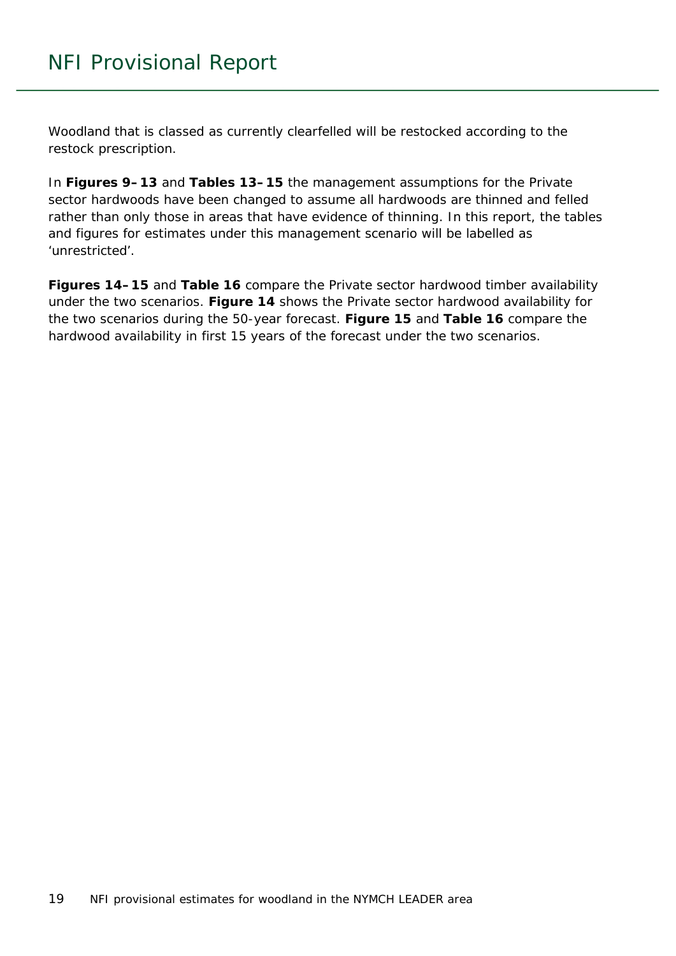Woodland that is classed as currently clearfelled will be restocked according to the restock prescription.

In **Figures 9–13** and **Tables 13–15** the management assumptions for the Private sector hardwoods have been changed to assume all hardwoods are thinned and felled rather than only those in areas that have evidence of thinning. In this report, the tables and figures for estimates under this management scenario will be labelled as 'unrestricted'.

**Figures 14–15** and **Table 16** compare the Private sector hardwood timber availability under the two scenarios. **Figure 14** shows the Private sector hardwood availability for the two scenarios during the 50-year forecast. **Figure 15** and **Table 16** compare the hardwood availability in first 15 years of the forecast under the two scenarios.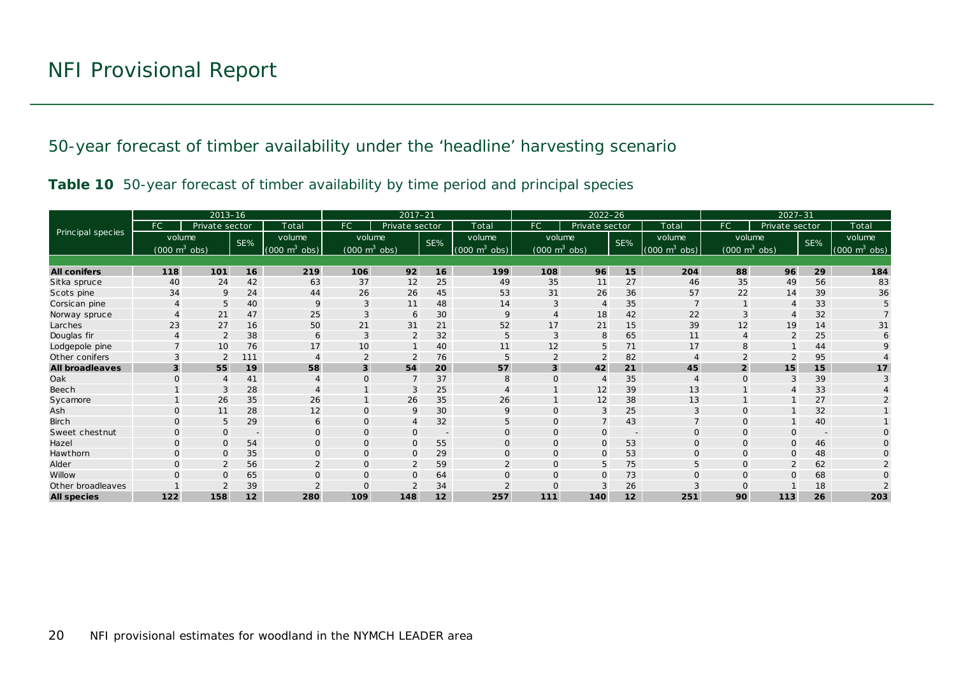50-year forecast of timber availability under the 'headline' harvesting scenario

|  |  |  | Table 10 50-year forecast of timber availability by time period and principal species |  |  |  |
|--|--|--|---------------------------------------------------------------------------------------|--|--|--|
|  |  |  |                                                                                       |  |  |  |

<span id="page-19-1"></span><span id="page-19-0"></span>

|                        |                                        | $2013 - 16$    |                          |                                | $2017 - 21$                     |                |                          | $2022 - 26$                     |                                 |                |                          | $2027 - 31$                     |                |                                 |     |                                 |
|------------------------|----------------------------------------|----------------|--------------------------|--------------------------------|---------------------------------|----------------|--------------------------|---------------------------------|---------------------------------|----------------|--------------------------|---------------------------------|----------------|---------------------------------|-----|---------------------------------|
|                        | FC                                     | Private sector |                          | Total                          | FC                              | Private sector |                          | Total                           | FC.                             | Private sector |                          | Total                           | FC.            | Private sector                  |     | Total                           |
| Principal species      |                                        | volume         | SE%                      | volume                         | volume                          |                | SE%                      | volume                          | volume                          |                | SE%                      | volume                          |                | volume                          | SE% | volume                          |
|                        | $\sqrt{(000 \text{ m}^3 \text{ obs})}$ |                |                          | $(000 \text{ m}^3)$<br>$\cosh$ | $(000 \text{ m}^3 \text{ obs})$ |                |                          | $(000 \text{ m}^3 \text{ obs})$ | $(000 \text{ m}^3 \text{ obs})$ |                |                          | $(000 \text{ m}^3 \text{ obs})$ |                | $(000 \text{ m}^3 \text{ obs})$ |     | $(000 \text{ m}^3 \text{ obs})$ |
|                        |                                        |                |                          |                                |                                 |                |                          |                                 |                                 |                |                          |                                 |                |                                 |     |                                 |
| <b>All conifers</b>    | 118                                    | 101            | 16                       | 219                            | 106                             | 92             | 16                       | 199                             | 108                             | 96             | 15                       | 204                             | 88             | 96                              | 29  | 184                             |
| Sitka spruce           | 40                                     | 24             | 42                       | 63                             | 37                              | 12             | 25                       | 49                              | 35                              | 11             | 27                       | 46                              | 35             | 49                              | 56  | 83                              |
| Scots pine             | 34                                     | 9              | 24                       | 44                             | 26                              | 26             | 45                       | 53                              | 31                              | 26             | 36                       | 57                              | 22             | 14                              | 39  | 36                              |
| Corsican pine          |                                        | 5              | 40                       | 9                              | 3                               | 11             | 48                       | 14                              | 3                               | $\Delta$       | 35                       |                                 |                |                                 | 33  |                                 |
| Norway spruce          |                                        | 21             | 47                       | 25                             | 3                               | 6              | 30                       | 9                               |                                 | 18             | 42                       | 22                              | 3              |                                 | 32  |                                 |
| Larches                | 23                                     | 27             | 16                       | 50                             | 21                              | 31             | 21                       | 52                              | 17                              | 21             | 15                       | 39                              | 12             | 19                              | 14  | 31                              |
| Douglas fir            |                                        | $\overline{2}$ | 38                       | 6                              | 3                               | $\overline{2}$ | 32                       | 5                               | 3                               | 8              | 65                       | 11                              |                |                                 | 25  | 6                               |
| Lodgepole pine         |                                        | 10             | 76                       | 17                             | 10                              |                | 40                       | 11                              | 12                              | 5              | 71                       | 17                              |                |                                 | 44  |                                 |
| Other conifers         |                                        | $\overline{2}$ | 111                      |                                | $\overline{2}$                  | $\overline{2}$ | 76                       | 5                               | $\overline{2}$                  | $\overline{2}$ | 82                       |                                 |                |                                 | 95  |                                 |
| <b>All broadleaves</b> | 3                                      | 55             | 19                       | 58                             | 3                               | 54             | 20                       | 57                              | $\overline{3}$                  | 42             | 21                       | 45                              | $\overline{2}$ | 15                              | 15  | 17                              |
| Oak                    | $\Omega$                               |                | 41                       |                                | $\Omega$                        | $\overline{7}$ | 37                       | 8                               | $\Omega$                        | $\overline{A}$ | 35                       |                                 | $\Omega$       | 3                               | 39  |                                 |
| Beech                  |                                        | 3              | 28                       |                                |                                 | 3              | 25                       |                                 |                                 | 12             | 39                       | 13                              |                |                                 | 33  |                                 |
| Sycamore               |                                        | 26             | 35                       | 26                             |                                 | 26             | 35                       | 26                              |                                 | 12             | 38                       | 13                              |                |                                 | 27  |                                 |
| Ash                    | 0                                      | 11             | 28                       | 12                             | $\mathbf 0$                     | 9              | 30                       | 9                               | $\mathbf{O}$                    | 3              | 25                       | 3                               | $\Omega$       |                                 | 32  |                                 |
| <b>Birch</b>           | $\Omega$                               | 5              | 29                       | 6                              | $\mathbf 0$                     | $\overline{4}$ | 32                       | 5                               | $\Omega$                        |                | 43                       |                                 | $\Omega$       |                                 | 40  |                                 |
| Sweet chestnut         | $\Omega$                               | $\Omega$       | $\overline{\phantom{a}}$ | $\Omega$                       | $\Omega$                        | $\mathbf 0$    | $\overline{\phantom{a}}$ | $\Omega$                        | $\Omega$                        | $\Omega$       | $\overline{\phantom{m}}$ | $\mathbf{O}$                    |                | $\Omega$                        |     |                                 |
| Hazel                  | $\Omega$                               | $\Omega$       | 54                       | $\Omega$                       | $\mathbf 0$                     | $\mathbf 0$    | 55                       | $\Omega$                        | $\Omega$                        | $\mathbf{O}$   | 53                       | $\mathbf{O}$                    | $\Omega$       | $\Omega$                        | 46  | $\cap$                          |
| Hawthorn               | $\mathbf{O}$                           | $\mathbf 0$    | 35                       | $\mathbf{O}$                   | $\mathbf{O}$                    | $\mathbf 0$    | 29                       | $\Omega$                        | $\mathsf{O}$                    | $\mathbf{O}$   | 53                       | $\mathbf{O}$                    | $\Omega$       | 0                               | 48  |                                 |
| Alder                  | $\Omega$                               |                | 56                       |                                | $\Omega$                        | $\overline{2}$ | 59                       |                                 | $\Omega$                        | 5              | 75                       | 5                               | $\Omega$       |                                 | 62  |                                 |
| Willow                 |                                        | $\Omega$       | 65                       | $\Omega$                       |                                 | $\mathbf{O}$   | 64                       | $\Omega$                        | $\mathbf{O}$                    | $\mathbf{O}$   | 73                       | $\Omega$                        | $\Omega$       | $\Omega$                        | 68  |                                 |
| Other broadleaves      |                                        |                | 39                       |                                | $\Omega$                        | 2              | 34                       |                                 | O                               | 3              | 26                       |                                 |                |                                 | 18  |                                 |
| <b>All species</b>     | 122                                    | 158            | 12                       | 280                            | 109                             | 148            | 12                       | 257                             | 111                             | 140            | 12                       | 251                             | 90             | 113                             | 26  | 203                             |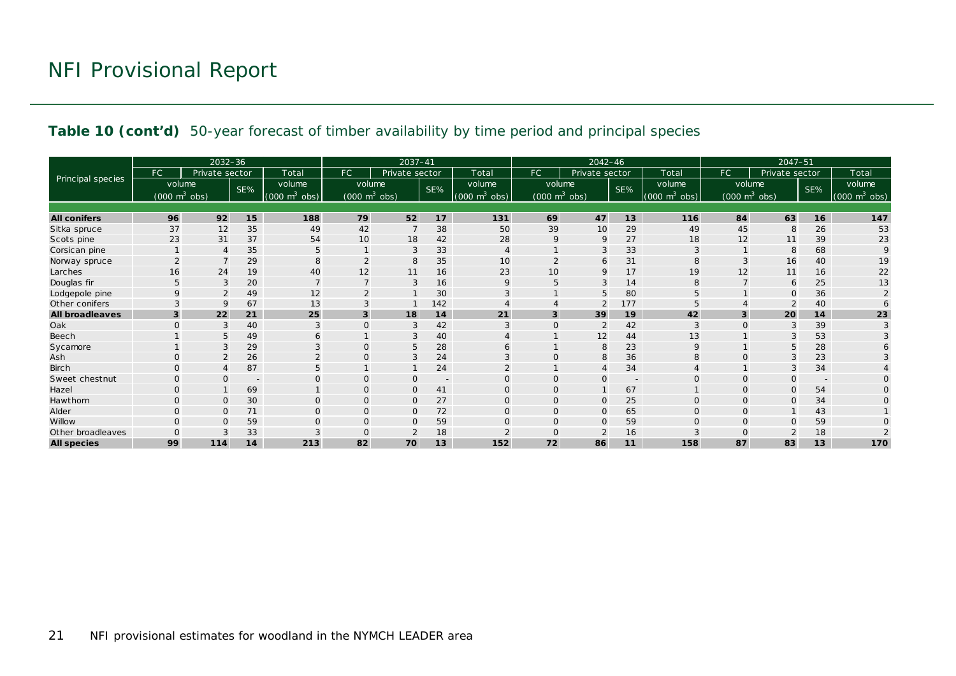#### **Table 10 (cont'd)** 50-year forecast of timber availability by time period and principal species

|                        |                                     | $2032 - 36$    |        |                                 | $2037 - 41$                         |                |                          | $2042 - 46$                   |                                     |                |                | $2047 - 51$                              |                                 |                |        |                                 |
|------------------------|-------------------------------------|----------------|--------|---------------------------------|-------------------------------------|----------------|--------------------------|-------------------------------|-------------------------------------|----------------|----------------|------------------------------------------|---------------------------------|----------------|--------|---------------------------------|
|                        | FC.                                 | Private sector |        | Total                           | FC                                  | Private sector |                          | Total                         | FC.                                 | Private sector |                | Total                                    | FC                              | Private sector |        | Total                           |
| Principal species      | volume                              |                | SE%    | volume                          | volume                              |                | SE%                      | volume                        | volume                              |                | SE%            | volume                                   | volume                          |                | SE%    | volume                          |
|                        | $(000 \; \text{m}^3 \; \text{obs})$ |                |        | $(000 \text{ m}^3 \text{ obs})$ | $(000 \; \text{m}^3 \; \text{obs})$ |                |                          | $(000 \; \text{m}^3)$<br>obs) | $(000 \; \text{m}^3 \; \text{obs})$ |                |                | m <sup>3</sup><br>(000)<br>$ obs\rangle$ | $(000 \text{ m}^3 \text{ obs})$ |                |        | $(000 \text{ m}^3 \text{ obs})$ |
|                        |                                     |                |        |                                 |                                     |                |                          |                               |                                     |                |                |                                          |                                 |                |        |                                 |
| <b>All conifers</b>    | 96                                  | 92             | 15     | 188                             | 79                                  | 52             | 17                       | 131                           | 69                                  | 47             | 13             | 116                                      | 84                              | 63             | 16     | 147                             |
| Sitka spruce           | 37                                  | 12             | 35     | 49                              | 42                                  |                | 38                       | 50                            | 39                                  | 10             | 29             | 49                                       | 45                              | 8              | 26     | 53                              |
| Scots pine             | 23                                  | 31             | 37     | 54                              | 10                                  | 18             | 42                       | 28                            | 9                                   | 9              | 27             | 18                                       | 12                              | 11             | 39     | 23                              |
| Corsican pine          |                                     | $\overline{4}$ | 35     | 5                               |                                     | 3              | 33                       | $\overline{4}$                |                                     | 3              | 33             | 3                                        |                                 | 8              | 68     | $\mathsf Q$                     |
| Norway spruce          |                                     |                | 29     | 8                               | $\overline{2}$                      | 8              | 35                       | 10                            |                                     | 6              | 31             | 8                                        | 3                               | 16             | 40     | 19                              |
| Larches                | 16                                  | 24             | 19     | 40                              | 12                                  | 11             | 16                       | 23                            | 10                                  | 9              | 17             | 19                                       | 12                              | 11             | 16     | 22                              |
| Douglas fir            | 5                                   | 3              | 20     |                                 | $\overline{7}$                      | 3              | 16                       | 9                             | 5                                   | 3              | 14             | 8                                        |                                 | 6              | 25     | 13                              |
| Lodgepole pine         | $\mathsf Q$                         |                | 49     | 12                              |                                     |                | 30                       |                               |                                     | 5              | 80             |                                          |                                 | O              | 36     |                                 |
| Other conifers         |                                     | $\mathsf Q$    | 67     | 13                              | 3                                   |                | 142                      |                               |                                     | $\overline{2}$ | 177            |                                          |                                 |                | 40     |                                 |
| <b>All broadleaves</b> | 3                                   | 22             | 21     | 25                              | 3                                   | 18             | 14                       | 21                            | 3                                   | 39             | 19             | 42                                       | 3                               | 20             | 14     | 23                              |
| Oak                    | $\Omega$                            | 3              | 40     |                                 | $\Omega$                            | 3              | 42                       | 3                             |                                     | 2              | 42             |                                          |                                 | 3              | 39     | 3                               |
| Beech                  |                                     | 5              | 49     | 6                               |                                     | 3              | 40                       |                               |                                     | 12             | 44             | 13                                       |                                 |                | 53     |                                 |
| Sycamore               |                                     | 3              | 29     | 3                               | $\Omega$                            | 5              | 28                       | 6                             |                                     | 8              | 23             | $\mathsf{Q}$                             |                                 |                | 28     |                                 |
| Ash                    | $\Omega$                            | $\overline{2}$ | 26     | $\Omega$                        | $\Omega$                            | 3              | 24                       | 3                             |                                     | 8              | 36             | 8                                        | $\Omega$                        |                | 23     |                                 |
| Birch                  | $\Omega$                            |                | 87     | 5                               |                                     |                | 24                       |                               |                                     | $\overline{4}$ | 34             |                                          |                                 | 3              | 34     |                                 |
| Sweet chestnut         | $\Omega$                            | $\Omega$       | $\sim$ |                                 | $\Omega$                            | $\mathbf{O}$   | $\overline{\phantom{a}}$ | $\Omega$                      | $\Omega$                            | $\Omega$       | $\overline{a}$ | $\Omega$                                 | $\Omega$                        | O              | $\sim$ |                                 |
| Hazel                  | $\Omega$                            |                | 69     |                                 | $\overline{0}$                      | $\Omega$       | 41                       | $\Omega$                      |                                     |                | 67             |                                          | $\Omega$                        | 0              | 54     |                                 |
| Hawthorn               | $\Omega$                            | $\mathbf 0$    | 30     | $\Omega$                        | $\mathbf{O}$                        | $\mathbf{O}$   | 27                       | $\mathbf{O}$                  | $\Omega$                            | $\mathbf{0}$   | 25             | $\Omega$                                 | $\Omega$                        | $\Omega$       | 34     |                                 |
| Alder                  | $\Omega$                            | $\mathbf 0$    | 71     | $\Omega$                        | $\mathbf{O}$                        | $\mathbf{O}$   | 72                       | $\overline{0}$                |                                     | $\mathbf{O}$   | 65             | $\Omega$                                 | $\Omega$                        |                | 43     |                                 |
| Willow                 |                                     | $\Omega$       | 59     |                                 | 0                                   | $\Omega$       | 59                       | $\Omega$                      |                                     | $\mathbf{O}$   | 59             |                                          |                                 | O              | 59     |                                 |
| Other broadleaves      |                                     | 3              | 33     |                                 | $\Omega$                            | $\overline{2}$ | 18                       | $\Omega$                      |                                     | $\overline{2}$ | 16             |                                          |                                 |                | 18     |                                 |
| <b>All species</b>     | 99                                  | 114            | 14     | 213                             | 82                                  | 70             | 13                       | 152                           | 72                                  | 86             | 11             | 158                                      | 87                              | 83             | 13     | 170                             |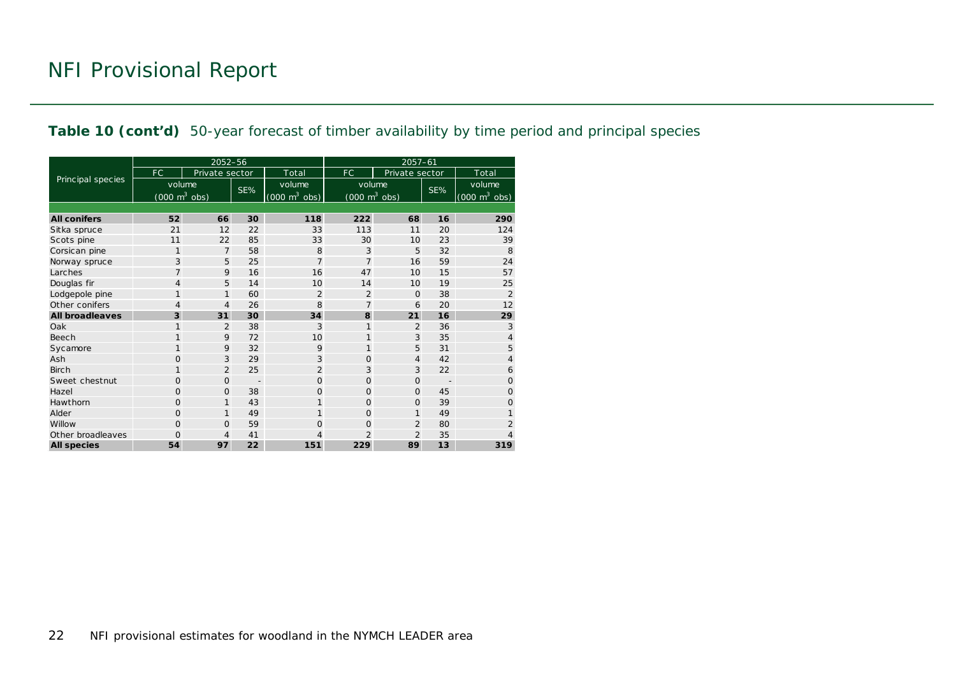#### **Table 10 (cont'd)** 50-year forecast of timber availability by time period and principal species

|                        |                                 | 2052-56        |     |                                     | $2057 - 61$                         |                |     |                                 |
|------------------------|---------------------------------|----------------|-----|-------------------------------------|-------------------------------------|----------------|-----|---------------------------------|
|                        | FC.                             | Private sector |     | Total                               | FC.                                 | Private sector |     | Total                           |
| Principal species      | volume                          |                | SE% | volume                              | volume                              |                | SE% | volume                          |
|                        | $(000 \text{ m}^3 \text{ obs})$ |                |     | $(000 \; \text{m}^3 \; \text{obs})$ | $(000 \; \text{m}^3 \; \text{obs})$ |                |     | $(000 \text{ m}^3 \text{ obs})$ |
|                        |                                 |                |     |                                     |                                     |                |     |                                 |
| <b>All conifers</b>    | 52                              | 66             | 30  | 118                                 | 222                                 | 68             | 16  | 290                             |
| Sitka spruce           | 21                              | 12             | 22  | 33                                  | 113                                 | 11             | 20  | 124                             |
| Scots pine             | 11                              | 22             | 85  | 33                                  | 30                                  | 10             | 23  | 39                              |
| Corsican pine          | 1                               | $\overline{7}$ | 58  | 8                                   | 3                                   | 5              | 32  | 8                               |
| Norway spruce          | 3                               | 5              | 25  | $\overline{7}$                      | $\overline{7}$                      | 16             | 59  | 24                              |
| Larches                | $\overline{7}$                  | 9              | 16  | 16                                  | 47                                  | 10             | 15  | 57                              |
| Douglas fir            | $\overline{4}$                  | 5              | 14  | 10                                  | 14                                  | 10             | 19  | 25                              |
| Lodgepole pine         | 1                               | $\mathbf{1}$   | 60  | $\overline{2}$                      | $\overline{2}$                      | $\mathbf 0$    | 38  | $\overline{2}$                  |
| Other conifers         | 4                               | 4              | 26  | 8                                   | $\overline{7}$                      | 6              | 20  | 12                              |
| <b>All broadleaves</b> | 3                               | 31             | 30  | 34                                  | 8                                   | 21             | 16  | 29                              |
| Oak                    | 1                               | $\overline{2}$ | 38  | 3                                   | 1                                   | $\overline{2}$ | 36  | 3                               |
| Beech                  | $\mathbf{1}$                    | 9              | 72  | 10                                  | 1                                   | 3              | 35  | $\overline{4}$                  |
| Sycamore               | $\mathbf{1}$                    | 9              | 32  | 9                                   | 1                                   | 5              | 31  | 5                               |
| Ash                    | $\mathbf{O}$                    | 3              | 29  | 3                                   | $\mathbf{O}$                        | $\overline{4}$ | 42  | 4                               |
| <b>Birch</b>           | 1                               | $\overline{2}$ | 25  | $\overline{2}$                      | 3                                   | 3              | 22  | 6                               |
| Sweet chestnut         | $\Omega$                        | $\mathbf{O}$   |     | $\Omega$                            | $\Omega$                            | $\Omega$       |     | $\Omega$                        |
| Hazel                  | $\Omega$                        | $\mathbf{O}$   | 38  | $\Omega$                            | $\Omega$                            | $\Omega$       | 45  | $\mathbf 0$                     |
| Hawthorn               | $\Omega$                        | $\mathbf{1}$   | 43  | 1                                   | $\mathbf{O}$                        | $\Omega$       | 39  | $\mathbf{O}$                    |
| Alder                  | $\Omega$                        | $\mathbf{1}$   | 49  | 1                                   | $\Omega$                            | $\mathbf{1}$   | 49  |                                 |
| Willow                 | $\Omega$                        | $\mathbf{O}$   | 59  | $\Omega$                            | $\mathbf{O}$                        | $\overline{2}$ | 80  | $\overline{2}$                  |
| Other broadleaves      | $\mathbf 0$                     | 4              | 41  | 4                                   | $\overline{2}$                      | $\overline{2}$ | 35  | 4                               |
| <b>All species</b>     | 54                              | 97             | 22  | 151                                 | 229                                 | 89             | 13  | 319                             |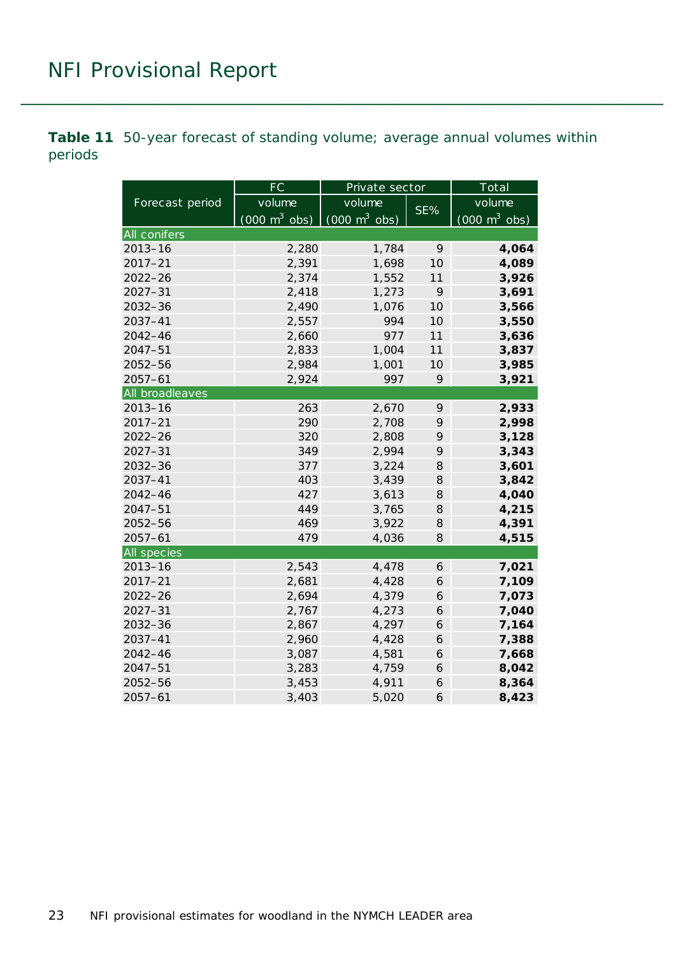<span id="page-22-0"></span>**Table 11** 50-year forecast of standing volume; average annual volumes within periods

|                 | FC                              | Private sector                      |     | Total                           |
|-----------------|---------------------------------|-------------------------------------|-----|---------------------------------|
| Forecast period | volume                          | volume                              | SE% | volume                          |
|                 | $(000 \text{ m}^3 \text{ obs})$ | $(000 \; \text{m}^3 \; \text{obs})$ |     | $(000 \text{ m}^3 \text{ obs})$ |
| All conifers    |                                 |                                     |     |                                 |
| $2013 - 16$     | 2,280                           | 1,784                               | 9   | 4,064                           |
| $2017 - 21$     | 2,391                           | 1,698                               | 10  | 4,089                           |
| $2022 - 26$     | 2,374                           | 1,552                               | 11  | 3,926                           |
| $2027 - 31$     | 2,418                           | 1,273                               | 9   | 3,691                           |
| $2032 - 36$     | 2,490                           | 1,076                               | 10  | 3,566                           |
| 2037-41         | 2,557                           | 994                                 | 10  | 3,550                           |
| $2042 - 46$     | 2,660                           | 977                                 | 11  | 3,636                           |
| $2047 - 51$     | 2,833                           | 1,004                               | 11  | 3,837                           |
| $2052 - 56$     | 2,984                           | 1,001                               | 10  | 3,985                           |
| $2057 - 61$     | 2,924                           | 997                                 | 9   | 3,921                           |
| All broadleaves |                                 |                                     |     |                                 |
| $2013 - 16$     | 263                             | 2,670                               | 9   | 2,933                           |
| $2017 - 21$     | 290                             | 2,708                               | 9   | 2,998                           |
| $2022 - 26$     | 320                             | 2,808                               | 9   | 3,128                           |
| $2027 - 31$     | 349                             | 2,994                               | 9   | 3,343                           |
| 2032-36         | 377                             | 3,224                               | 8   | 3,601                           |
| 2037-41         | 403                             | 3,439                               | 8   | 3,842                           |
| $2042 - 46$     | 427                             | 3,613                               | 8   | 4,040                           |
| $2047 - 51$     | 449                             | 3,765                               | 8   | 4,215                           |
| 2052-56         | 469                             | 3,922                               | 8   | 4,391                           |
| $2057 - 61$     | 479                             | 4,036                               | 8   | 4,515                           |
| All species     |                                 |                                     |     |                                 |
| $2013 - 16$     | 2,543                           | 4,478                               | 6   | 7,021                           |
| $2017 - 21$     | 2,681                           | 4,428                               | 6   | 7,109                           |
| $2022 - 26$     | 2,694                           | 4,379                               | 6   | 7,073                           |
| $2027 - 31$     | 2,767                           | 4,273                               | 6   | 7,040                           |
| $2032 - 36$     | 2,867                           | 4,297                               | 6   | 7,164                           |
| $2037 - 41$     | 2,960                           | 4,428                               | 6   | 7,388                           |
| $2042 - 46$     | 3,087                           | 4,581                               | 6   | 7,668                           |
| $2047 - 51$     | 3,283                           | 4,759                               | 6   | 8,042                           |
| 2052-56         | 3,453                           | 4,911                               | 6   | 8,364                           |
| $2057 - 61$     | 3,403                           | 5,020                               | 6   | 8,423                           |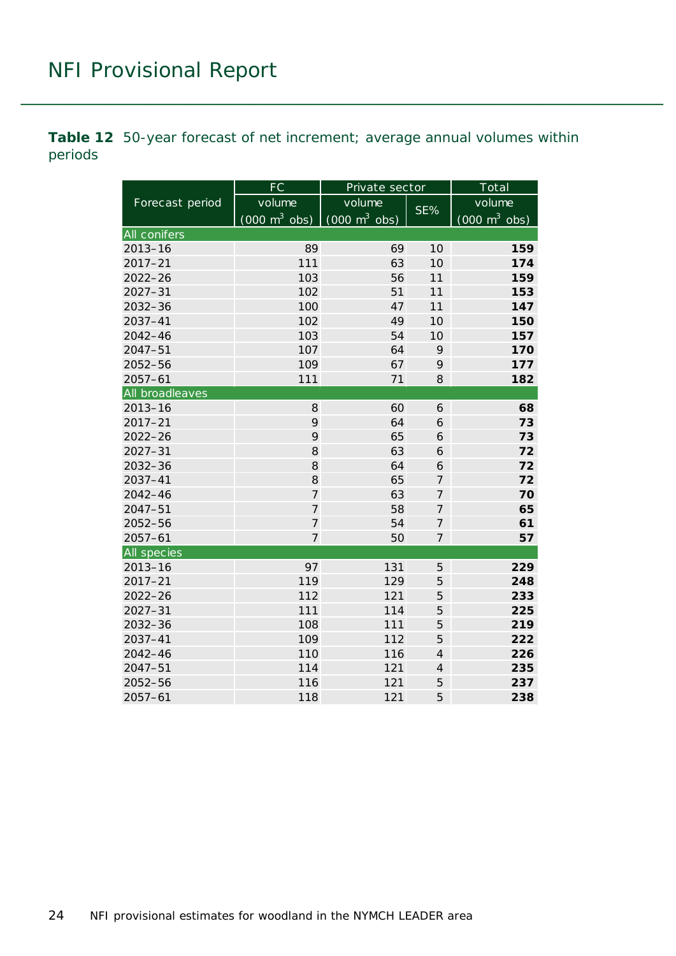<span id="page-23-0"></span>**Table 12** 50-year forecast of net increment; average annual volumes within periods

| Forecast period | FC                              | Private sector                  |                | Total                           |
|-----------------|---------------------------------|---------------------------------|----------------|---------------------------------|
|                 | volume                          | volume                          | SE%            | volume                          |
|                 | $(000 \text{ m}^3 \text{ obs})$ | $(000 \text{ m}^3 \text{ obs})$ |                | $(000 \text{ m}^3 \text{ obs})$ |
| All conifers    |                                 |                                 |                |                                 |
| $2013 - 16$     | 89                              | 69                              | 10             | 159                             |
| $2017 - 21$     | 111                             | 63                              | 10             | 174                             |
| $2022 - 26$     | 103                             | 56                              | 11             | 159                             |
| $2027 - 31$     | 102                             | 51                              | 11             | 153                             |
| $2032 - 36$     | 100                             | 47                              | 11             | 147                             |
| 2037-41         | 102                             | 49                              | 10             | 150                             |
| $2042 - 46$     | 103                             | 54                              | 10             | 157                             |
| $2047 - 51$     | 107                             | 64                              | 9              | 170                             |
| 2052-56         | 109                             | 67                              | 9              | 177                             |
| $2057 - 61$     | 111                             | 71                              | 8              | 182                             |
| All broadleaves |                                 |                                 |                |                                 |
| $2013 - 16$     | 8                               | 60                              | 6              | 68                              |
| $2017 - 21$     | 9                               | 64                              | 6              | 73                              |
| $2022 - 26$     | 9                               | 65                              | 6              | 73                              |
| $2027 - 31$     | 8                               | 63                              | 6              | 72                              |
| 2032-36         | 8                               | 64                              | 6              | 72                              |
| $2037 - 41$     | 8                               | 65                              | 7              | 72                              |
| $2042 - 46$     | $\overline{7}$                  | 63                              | 7              | 70                              |
| $2047 - 51$     | $\overline{7}$                  | 58                              | $\overline{7}$ | 65                              |
| 2052-56         | $\overline{7}$                  | 54                              | $\overline{7}$ | 61                              |
| $2057 - 61$     | $\overline{7}$                  | 50                              | $\overline{7}$ | 57                              |
| All species     |                                 |                                 |                |                                 |
| $2013 - 16$     | 97                              | 131                             | 5              | 229                             |
| $2017 - 21$     | 119                             | 129                             | 5              | 248                             |
| $2022 - 26$     | 112                             | 121                             | 5              | 233                             |
| $2027 - 31$     | 111                             | 114                             | 5              | 225                             |
| 2032-36         | 108                             | 111                             | 5              | 219                             |
| $2037 - 41$     | 109                             | 112                             | 5              | 222                             |
| $2042 - 46$     | 110                             | 116                             | $\overline{4}$ | 226                             |
| $2047 - 51$     | 114                             | 121                             | $\overline{4}$ | 235                             |
| 2052-56         | 116                             | 121                             | 5              | 237                             |
| $2057 - 61$     | 118                             | 121                             | 5              | 238                             |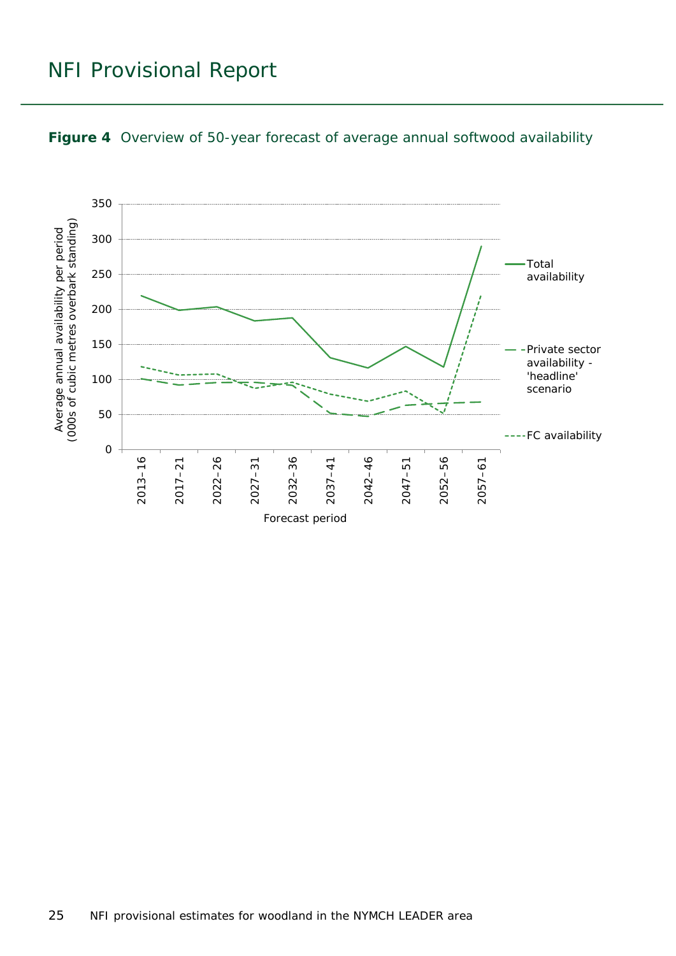

#### <span id="page-24-0"></span>**Figure 4** Overview of 50-year forecast of average annual softwood availability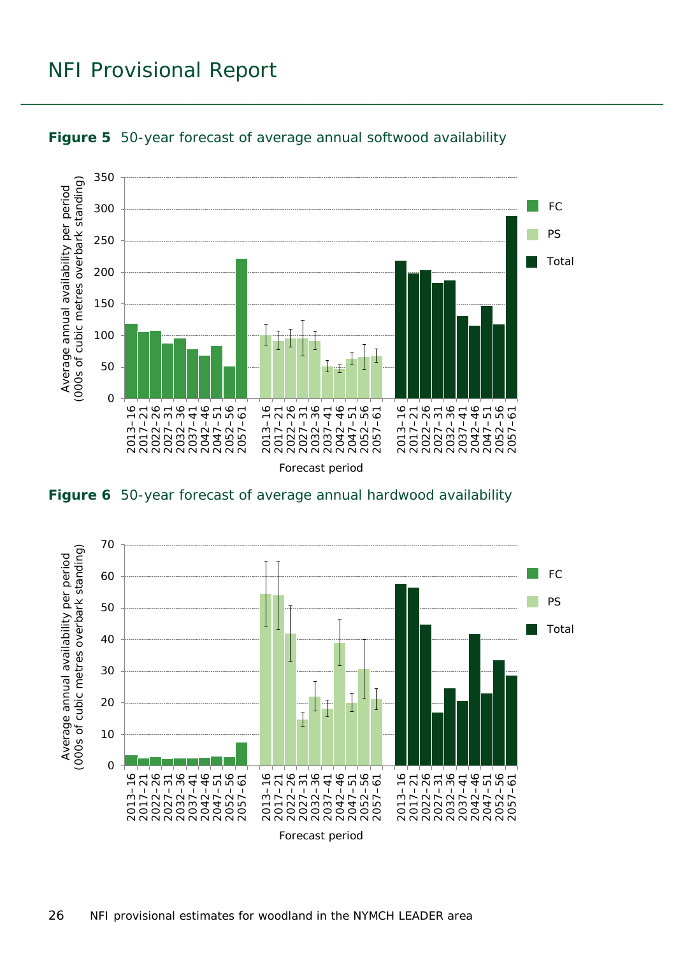

<span id="page-25-0"></span>

<span id="page-25-1"></span>

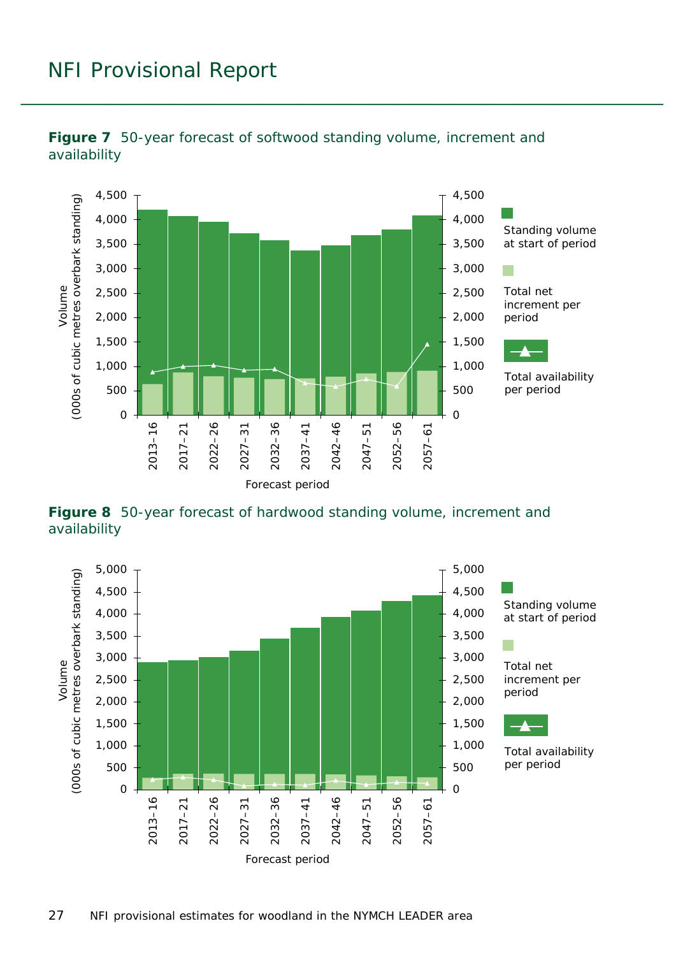

<span id="page-26-0"></span>

<span id="page-26-1"></span>**Figure 8** 50-year forecast of hardwood standing volume, increment and availability

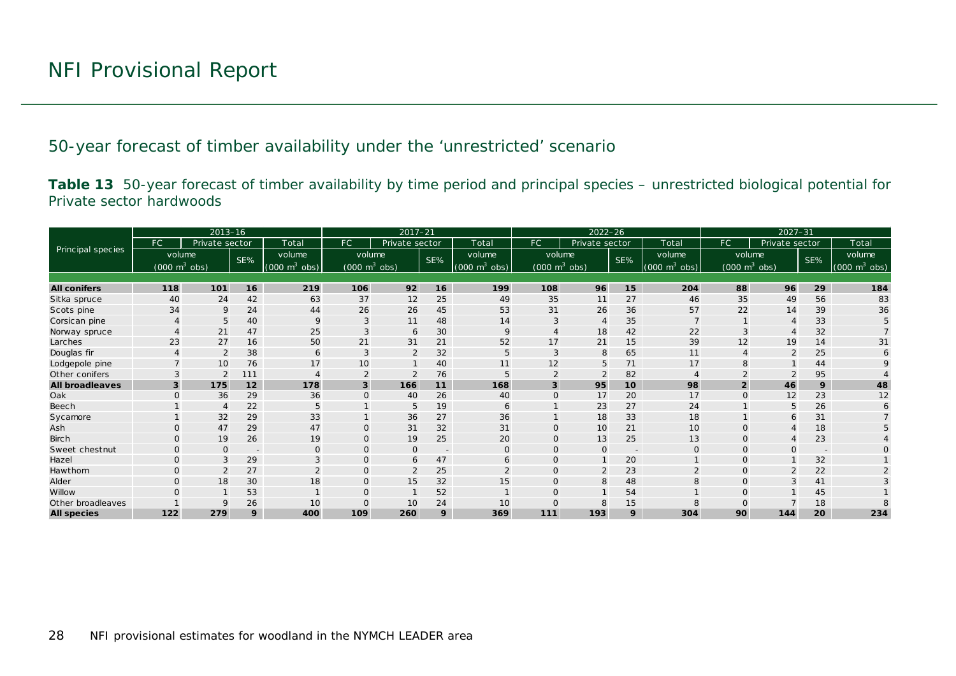50-year forecast of timber availability under the 'unrestricted' scenario

**Table 13** 50-year forecast of timber availability by time period and principal species – unrestricted biological potential for Private sector hardwoods

<span id="page-27-1"></span><span id="page-27-0"></span>

|                        |                                 | $2013 - 16$    |                          |                               |                                 | $2017 - 21$    |     |                                 |                                 | $2022 - 26$    |                          |                                 |                | $2027 - 31$                     |     |                                 |
|------------------------|---------------------------------|----------------|--------------------------|-------------------------------|---------------------------------|----------------|-----|---------------------------------|---------------------------------|----------------|--------------------------|---------------------------------|----------------|---------------------------------|-----|---------------------------------|
|                        | FC                              | Private sector |                          | Total                         | <b>FC</b>                       | Private sector |     | Total                           | FC.                             | Private sector |                          | Total                           | FC.            | Private sector                  |     | Total                           |
| Principal species      | volume                          |                | SE%                      | volume                        | volume                          |                | SE% | volume                          | volume                          |                | SE%                      | volume                          |                | volume                          | SE% | volume                          |
|                        | $(000 \text{ m}^3 \text{ obs})$ |                |                          | $(000 \; \text{m}^3)$<br>obs) | $(000 \text{ m}^3 \text{ obs})$ |                |     | $(000 \text{ m}^3 \text{ obs})$ | $(000 \text{ m}^3 \text{ obs})$ |                |                          | $(000 \text{ m}^3 \text{ obs})$ |                | $(000 \text{ m}^3 \text{ obs})$ |     | $(000 \text{ m}^3 \text{ obs})$ |
|                        |                                 |                |                          |                               |                                 |                |     |                                 |                                 |                |                          |                                 |                |                                 |     |                                 |
| <b>All conifers</b>    | 118                             | 101            | 16                       | 219                           | 106                             | 92             | 16  | 199                             | 108                             | 96             | 15                       | 204                             | 88             | 96                              | 29  | 184                             |
| Sitka spruce           | 40                              | 24             | 42                       | 63                            | 37                              | 12             | 25  | 49                              | 35                              | 11             | 27                       | 46                              | 35             | 49                              | 56  | 83                              |
| Scots pine             | 34                              | 9              | 24                       | 44                            | 26                              | 26             | 45  | 53                              | 31                              | 26             | 36                       | 57                              | 22             | 14                              | 39  | 36                              |
| Corsican pine          |                                 | 5              | 40                       | 9                             | 3                               | 11             | 48  | 14                              |                                 |                | 35                       |                                 |                |                                 | 33  |                                 |
| Norway spruce          |                                 | 21             | 47                       | 25                            | 3                               | 6              | 30  | 9                               |                                 | 18             | 42                       | 22                              | 3              |                                 | 32  |                                 |
| Larches                | 23                              | 27             | 16                       | 50                            | 21                              | 31             | 21  | 52                              | 17                              | 21             | 15                       | 39                              | 12             | 19                              | 14  | 31                              |
| Douglas fir            |                                 | 2              | 38                       | 6                             | 3                               | $\overline{2}$ | 32  | 5                               | 3                               | 8              | 65                       | 11                              |                |                                 | 25  | 6                               |
| Lodgepole pine         |                                 | 10             | 76                       | 17                            | 10                              |                | 40  | 11                              | 12                              | 5              | 71                       | 17                              |                |                                 | 44  |                                 |
| Other conifers         |                                 |                | 111                      |                               | $\overline{2}$                  | $\overline{2}$ | 76  |                                 | $\overline{2}$                  | $\overline{2}$ | 82                       |                                 |                |                                 | 95  |                                 |
| <b>All broadleaves</b> | 3                               | 175            | 12                       | 178                           | $\overline{\mathbf{3}}$         | 166            | 11  | 168                             | $\overline{3}$                  | 95             | 10                       | 98                              | $\overline{2}$ | 46                              | 9   | 48                              |
| Oak                    | $\Omega$                        | 36             | 29                       | 36                            | $\mathbf{O}$                    | 40             | 26  | 40                              | $\Omega$                        | 17             | 20                       | 17                              | $\Omega$       | 12                              | 23  | 12                              |
| Beech                  |                                 | $\overline{4}$ | 22                       |                               |                                 | 5              | 19  | 6                               |                                 | 23             | 27                       | 24                              |                | 5                               | 26  |                                 |
| Sycamore               |                                 | 32             | 29                       | 33                            |                                 | 36             | 27  | 36                              |                                 | 18             | 33                       | 18                              |                | 6                               | 31  |                                 |
| Ash                    | $\Omega$                        | 47             | 29                       | 47                            | $\mathbf{O}$                    | 31             | 32  | 31                              | $\Omega$                        | 10             | 21                       | 10 <sup>°</sup>                 | $\Omega$       |                                 | 18  |                                 |
| <b>Birch</b>           | $\Omega$                        | 19             | 26                       | 19                            | $\mathbf{0}$                    | 19             | 25  | 20                              | $\Omega$                        | 13             | 25                       | 13                              | $\Omega$       |                                 | 23  |                                 |
| Sweet chestnut         | $\Omega$                        | $\Omega$       | $\overline{\phantom{a}}$ | $\Omega$                      | $\mathbf{O}$                    | $\mathbf 0$    |     | $\Omega$                        | $\Omega$                        | $\mathbf{0}$   | $\overline{\phantom{a}}$ | $\mathbf{O}$                    |                |                                 |     |                                 |
| Hazel                  | $\Omega$                        | 3              | 29                       | 3                             | $\mathbf{O}$                    | 6              | 47  | 6                               | $\Omega$                        |                | 20                       |                                 | $\Omega$       |                                 | 32  |                                 |
| Hawthorn               | $\Omega$                        | $\overline{2}$ | 27                       | $\overline{2}$                | $\mathbf{O}$                    | 2              | 25  | $\mathcal{P}$                   | $\Omega$                        | 2              | 23                       | $\overline{2}$                  | $\Omega$       | $\overline{2}$                  | 22  |                                 |
| Alder                  | $\Omega$                        | 18             | 30                       | 18                            | $\mathbf{0}$                    | 15             | 32  | 15                              | 0                               | 8              | 48                       | 8                               | $\Omega$       |                                 | 41  |                                 |
| Willow                 |                                 |                | 53                       |                               | $\mathbf{O}$                    |                | 52  |                                 | $\Omega$                        |                | 54                       |                                 | $\Omega$       |                                 | 45  |                                 |
| Other broadleaves      |                                 | 9              | 26                       | 10                            | $\Omega$                        | 10             | 24  | 10                              | $\Omega$                        | 8              | 15                       | 8                               |                |                                 | 18  |                                 |
| <b>All species</b>     | 122                             | 279            | 9                        | 400                           | 109                             | 260            | 9   | 369                             | 111                             | 193            | 9                        | 304                             | 90             | 144                             | 20  | 234                             |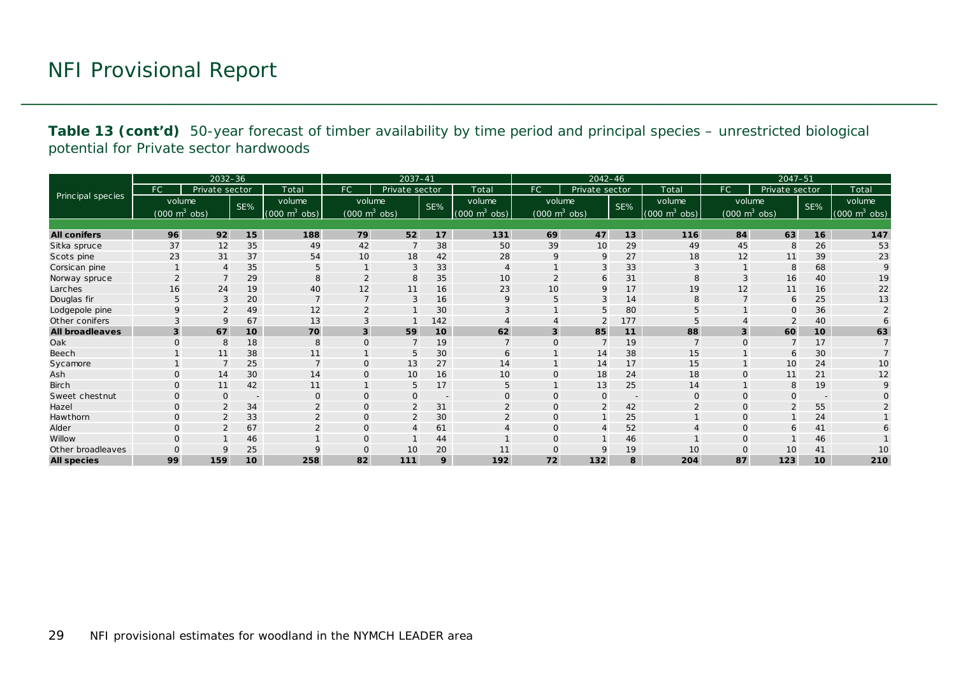**Table 13 (cont'd)** 50-year forecast of timber availability by time period and principal species – unrestricted biological potential for Private sector hardwoods

|                        |                                 | $2032 - 36$    |                  |                             |                                     | $2037 - 41$    |                          |                                 |                                 | 2042-46        |                          |                                 |             | 2047-51                         |                          |                                     |
|------------------------|---------------------------------|----------------|------------------|-----------------------------|-------------------------------------|----------------|--------------------------|---------------------------------|---------------------------------|----------------|--------------------------|---------------------------------|-------------|---------------------------------|--------------------------|-------------------------------------|
|                        | <b>FC</b>                       | Private sector |                  | Total                       | <b>FC</b>                           | Private sector |                          | Total                           | FC.                             | Private sector |                          | Total                           | FC          | Private sector                  |                          | Total                               |
| Principal species      | volume                          |                | SE%              | volume                      | volume                              |                | SE%                      | volume                          | volume                          |                | SE%                      | volume                          |             | volume                          | SE%                      | volume                              |
|                        | $(000 \text{ m}^3 \text{ obs})$ |                |                  | $(000 \text{ m}^3)$<br>obs) | $(000 \; \text{m}^3 \; \text{obs})$ |                |                          | $(000 \text{ m}^3 \text{ obs})$ | $(000 \text{ m}^3 \text{ obs})$ |                |                          | $(000 \text{ m}^3 \text{ obs})$ |             | $(000 \text{ m}^3 \text{ obs})$ |                          | $(000 \; \text{m}^3 \; \text{obs})$ |
|                        |                                 |                |                  |                             |                                     |                |                          |                                 |                                 |                |                          |                                 |             |                                 |                          |                                     |
| <b>All conifers</b>    | 96                              | 92             | 15               | 188                         | 79                                  | 52             | 17                       | 131                             | 69                              | 47             | 13                       | 116                             | 84          | 63                              | 16                       | 147                                 |
| Sitka spruce           | 37                              | 12             | 35               | 49                          | 42                                  | 7              | 38                       | 50                              | 39                              | 10             | 29                       | 49                              | 45          | 8                               | 26                       | 53                                  |
| Scots pine             | 23                              | 31             | 37               | 54                          | 10                                  | 18             | 42                       | 28                              | 9                               | 9              | 27                       | 18                              | 12          | 11                              | 39                       | 23                                  |
| Corsican pine          |                                 | $\overline{A}$ | 35               | 5                           | $\mathbf{1}$                        | 3              | 33                       | $\overline{4}$                  |                                 | 3              | 33                       | 3                               |             | 8                               | 68                       | 9                                   |
| Norway spruce          |                                 |                | 29               |                             | $\overline{2}$                      | 8              | 35                       | 10                              | 2                               | 6              | 31                       | 8                               |             | 16                              | 40                       | 19                                  |
| Larches                | 16                              | 24             | 19               | 40                          | 12                                  | 11             | 16                       | 23                              | 10                              | 9              | 17                       | 19                              | 12          | 11                              | 16                       | 22                                  |
| Douglas fir            | 5                               | 3              | 20               | $\overline{7}$              | $\overline{7}$                      | 3              | 16                       | 9                               | 5                               | 3              | 14                       | 8                               |             | 6                               | 25                       | 13                                  |
| Lodgepole pine         |                                 | $\overline{2}$ | 49               | 12                          | $\overline{2}$                      |                | 30                       | 3                               |                                 | 5              | 80                       | 5                               |             | $\mathbf{O}$                    | 36                       |                                     |
| Other conifers         |                                 | 9              | 67               | 13                          | 3                                   |                | 142                      |                                 |                                 | $\overline{2}$ | 177                      | 5                               |             | $\overline{2}$                  | 40                       |                                     |
| <b>All broadleaves</b> | 3                               | 67             | 10               | 70                          | 3                                   | 59             | 10                       | 62                              | $\overline{\mathbf{3}}$         | 85             | 11                       | 88                              | 3           | 60                              | 10                       | 63                                  |
| Oak                    |                                 | 8              | 18               | 8                           | $\Omega$                            | $\overline{7}$ | 19                       | $\overline{7}$                  | $\Omega$                        | $\overline{7}$ | 19                       |                                 | $\Omega$    | $\overline{7}$                  | 17                       |                                     |
| Beech                  |                                 | 11             | 38               | 11                          |                                     | 5              | 30                       | 6                               |                                 | 14             | 38                       | 15                              |             | 6                               | 30                       |                                     |
| Sycamore               |                                 |                | 25               | $\overline{ }$              | $\overline{0}$                      | 13             | 27                       | 14                              |                                 | 14             | 17                       | 15                              |             | 10                              | 24                       | 10                                  |
| Ash                    | $\Omega$                        | 14             | 30               | 14                          | $\mathbf 0$                         | 10             | 16                       | 10                              | $\Omega$                        | 18             | 24                       | 18                              | $\Omega$    | 11                              | 21                       | 12                                  |
| <b>Birch</b>           |                                 | 11             | 42               | 11                          |                                     | 5              | 17                       | 5                               |                                 | 13             | 25                       | 14                              |             | 8                               | 19                       | 9                                   |
| Sweet chestnut         | $\Omega$                        | $\Omega$       | $\sim$           | $\Omega$                    | $\overline{0}$                      | O              | $\overline{\phantom{a}}$ | $\mathbf 0$                     | $\Omega$                        | $\mathbf{O}$   | $\overline{\phantom{m}}$ | $\mathbf 0$                     | $\Omega$    | $\Omega$                        | $\overline{\phantom{a}}$ |                                     |
| Hazel                  | $\mathbf{O}$                    | $\overline{2}$ | 34               | $\overline{2}$              | $\overline{0}$                      | $\overline{2}$ | 31                       | 2                               | 0                               | 2              | 42                       | $\overline{2}$                  | $\Omega$    | $\overline{2}$                  | 55                       |                                     |
| Hawthorn               | $\mathbf{O}$                    | $\overline{2}$ | 33               | $\overline{2}$              | $\mathbf 0$                         | $\overline{2}$ | 30                       | $\overline{2}$                  | 0                               | $\mathbf{1}$   | 25                       |                                 | $\Omega$    |                                 | 24                       |                                     |
| Alder                  | $\Omega$                        | $\overline{2}$ | 67               |                             | $\mathbf{O}$                        | $\overline{4}$ | 61                       |                                 | 0                               | 4              | 52                       |                                 | $\Omega$    | 6                               | 41                       |                                     |
| Willow                 |                                 |                | 46               |                             | $\mathbf 0$                         |                | 44                       |                                 | $\Omega$                        |                | 46                       |                                 |             |                                 | 46                       |                                     |
| Other broadleaves      | $\Omega$                        | 9              | 25               |                             | $\Omega$                            | 10             | 20                       | 11                              | $\Omega$                        | 9              | 19                       | 10                              | $\mathbf 0$ | 10                              | 41                       | 10                                  |
| <b>All species</b>     | 99                              | 159            | 10 <sup>10</sup> | 258                         | 82                                  | 111            | 9                        | 192                             | 72                              | 132            | 8                        | 204                             | 87          | 123                             | 10                       | 210                                 |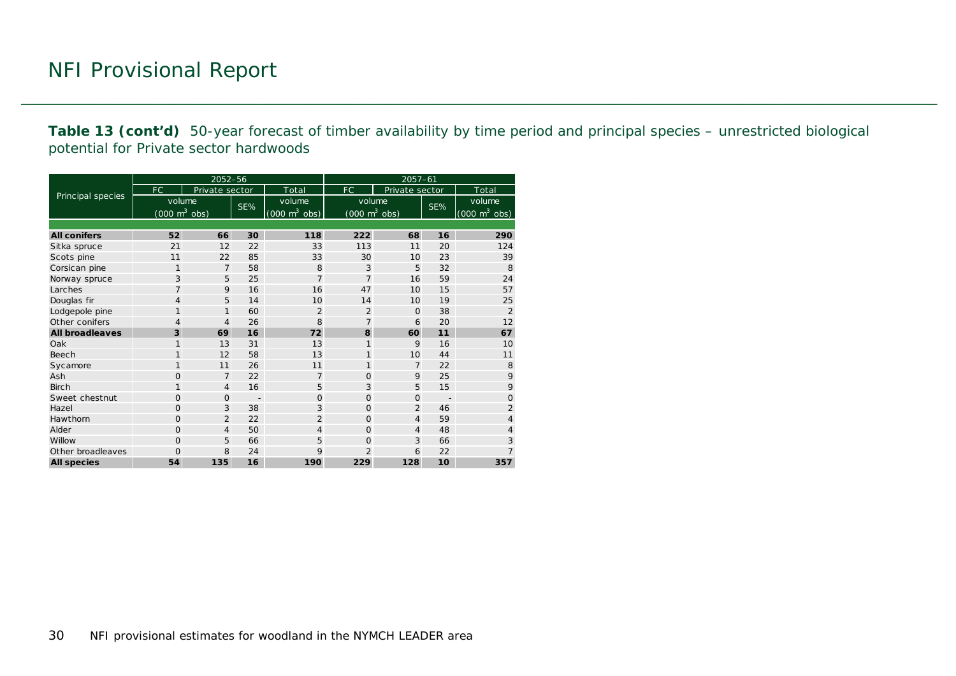**Table 13 (cont'd)** 50-year forecast of timber availability by time period and principal species – unrestricted biological potential for Private sector hardwoods

|                        |                                     | 2052-56        |     |                                     | $2057 - 61$                         |                |                          |                                 |  |  |
|------------------------|-------------------------------------|----------------|-----|-------------------------------------|-------------------------------------|----------------|--------------------------|---------------------------------|--|--|
|                        | FC                                  | Private sector |     | Total                               | FC                                  | Private sector |                          | Total                           |  |  |
| Principal species      | volume                              |                | SE% | volume                              | volume                              |                | SE%                      | volume                          |  |  |
|                        | $(000 \; \text{m}^3 \; \text{obs})$ |                |     | $(000 \; \text{m}^3 \; \text{obs})$ | $(000 \; \text{m}^3 \; \text{obs})$ |                |                          | $(000 \text{ m}^3 \text{ obs})$ |  |  |
|                        |                                     |                |     |                                     |                                     |                |                          |                                 |  |  |
| <b>All conifers</b>    | 52                                  | 66             | 30  | 118                                 | 222                                 | 68             | 16                       | 290                             |  |  |
| Sitka spruce           | 21                                  | 12             | 22  | 33                                  | 113                                 | 11             | 20                       | 124                             |  |  |
| Scots pine             | 11                                  | 22             | 85  | 33                                  | 30                                  | 10             | 23                       | 39                              |  |  |
| Corsican pine          | 1                                   | $\overline{7}$ | 58  | 8                                   | 3                                   | 5              | 32                       | 8                               |  |  |
| Norway spruce          | 3                                   | 5              | 25  | $\overline{7}$                      | $\overline{7}$                      | 16             | 59                       | 24                              |  |  |
| Larches                | $\overline{7}$                      | 9              | 16  | 16                                  | 47                                  | 10             | 15                       | 57                              |  |  |
| Douglas fir            | $\overline{4}$                      | 5              | 14  | 10                                  | 14                                  | 10             | 19                       | 25                              |  |  |
| Lodgepole pine         | 1                                   | 1              | 60  | $\overline{2}$                      | $\overline{2}$                      | $\Omega$       | 38                       | $\overline{2}$                  |  |  |
| Other conifers         | 4                                   | $\overline{4}$ | 26  | 8                                   | $\overline{7}$                      | 6              | 20                       | 12                              |  |  |
| <b>All broadleaves</b> | 3                                   | 69             | 16  | 72                                  | 8                                   | 60             | 11                       | 67                              |  |  |
| Oak                    | 1                                   | 13             | 31  | 13                                  | 1                                   | 9              | 16                       | 10                              |  |  |
| Beech                  | 1                                   | 12             | 58  | 13                                  | 1                                   | 10             | 44                       | 11                              |  |  |
| Sycamore               | 1                                   | 11             | 26  | 11                                  | $\mathbf{1}$                        | $\overline{7}$ | 22                       | 8                               |  |  |
| Ash                    | 0                                   | $\overline{7}$ | 22  | $\overline{7}$                      | 0                                   | 9              | 25                       | 9                               |  |  |
| <b>Birch</b>           | 1                                   | $\overline{4}$ | 16  | 5                                   | 3                                   | 5              | 15                       | 9                               |  |  |
| Sweet chestnut         | $\Omega$                            | $\Omega$       |     | $\Omega$                            | $\Omega$                            | $\Omega$       | $\overline{\phantom{a}}$ | $\Omega$                        |  |  |
| Hazel                  | $\Omega$                            | 3              | 38  | 3                                   | $\Omega$                            | $\overline{2}$ | 46                       | $\overline{2}$                  |  |  |
| Hawthorn               | $\Omega$                            | $\overline{2}$ | 22  | $\overline{2}$                      | $\Omega$                            | $\overline{4}$ | 59                       | $\overline{4}$                  |  |  |
| Alder                  | $\Omega$                            | $\overline{4}$ | 50  | $\overline{4}$                      | $\Omega$                            | $\overline{4}$ | 48                       | $\overline{4}$                  |  |  |
| Willow                 | $\Omega$                            | 5              | 66  | 5                                   | $\Omega$                            | 3              | 66                       | 3                               |  |  |
| Other broadleaves      | $\Omega$                            | 8              | 24  | 9                                   | $\overline{2}$                      | 6              | 22                       | $\overline{7}$                  |  |  |
| <b>All species</b>     | 54                                  | 135            | 16  | 190                                 | 229                                 | 128            | 10                       | 357                             |  |  |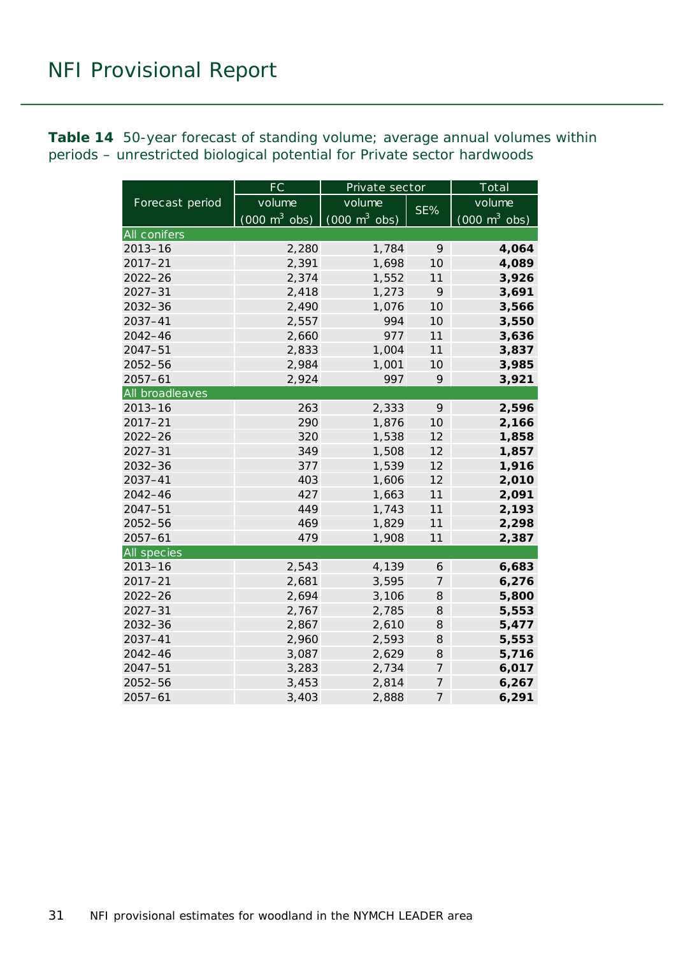<span id="page-30-0"></span>**Table 14** 50-year forecast of standing volume; average annual volumes within periods – unrestricted biological potential for Private sector hardwoods

|                 | FC                              | Private sector                             |                | Total                           |
|-----------------|---------------------------------|--------------------------------------------|----------------|---------------------------------|
| Forecast period | volume                          | volume                                     | SE%            | volume                          |
|                 | $(000 \text{ m}^3 \text{ obs})$ | $\overline{(000 \text{ m}^3 \text{ obs})}$ |                | $(000 \text{ m}^3 \text{ obs})$ |
| All conifers    |                                 |                                            |                |                                 |
| $2013 - 16$     | 2,280                           | 1,784                                      | 9              | 4,064                           |
| $2017 - 21$     | 2,391                           | 1,698                                      | 10             | 4,089                           |
| 2022-26         | 2,374                           | 1,552                                      | 11             | 3,926                           |
| $2027 - 31$     | 2,418                           | 1,273                                      | 9              | 3,691                           |
| 2032-36         | 2,490                           | 1,076                                      | 10             | 3,566                           |
| 2037-41         | 2,557                           | 994                                        | 10             | 3,550                           |
| 2042-46         | 2,660                           | 977                                        | 11             | 3,636                           |
| $2047 - 51$     | 2,833                           | 1,004                                      | 11             | 3,837                           |
| 2052-56         | 2,984                           | 1,001                                      | 10             | 3,985                           |
| $2057 - 61$     | 2,924                           | 997                                        | 9              | 3,921                           |
| All broadleaves |                                 |                                            |                |                                 |
| $2013 - 16$     | 263                             | 2,333                                      | 9              | 2,596                           |
| $2017 - 21$     | 290                             | 1,876                                      | 10             | 2,166                           |
| $2022 - 26$     | 320                             | 1,538                                      | 12             | 1,858                           |
| $2027 - 31$     | 349                             | 1,508                                      | 12             | 1,857                           |
| $2032 - 36$     | 377                             | 1,539                                      | 12             | 1,916                           |
| $2037 - 41$     | 403                             | 1,606                                      | 12             | 2,010                           |
| 2042-46         | 427                             | 1,663                                      | 11             | 2,091                           |
| $2047 - 51$     | 449                             | 1,743                                      | 11             | 2,193                           |
| $2052 - 56$     | 469                             | 1,829                                      | 11             | 2,298                           |
| $2057 - 61$     | 479                             | 1,908                                      | 11             | 2,387                           |
| All species     |                                 |                                            |                |                                 |
| $2013 - 16$     | 2,543                           | 4,139                                      | 6              | 6,683                           |
| $2017 - 21$     | 2,681                           | 3,595                                      | $\overline{7}$ | 6,276                           |
| $2022 - 26$     | 2,694                           | 3,106                                      | 8              | 5,800                           |
| $2027 - 31$     | 2,767                           | 2,785                                      | 8              | 5,553                           |
| 2032-36         | 2,867                           | 2,610                                      | 8              | 5,477                           |
| 2037-41         | 2,960                           | 2,593                                      | 8              | 5,553                           |
| 2042-46         | 3,087                           | 2,629                                      | 8              | 5,716                           |
| $2047 - 51$     | 3,283                           | 2,734                                      | $\overline{7}$ | 6,017                           |
| 2052-56         | 3,453                           | 2,814                                      | $\overline{7}$ | 6,267                           |
| $2057 - 61$     | 3,403                           | 2,888                                      | $\overline{7}$ | 6,291                           |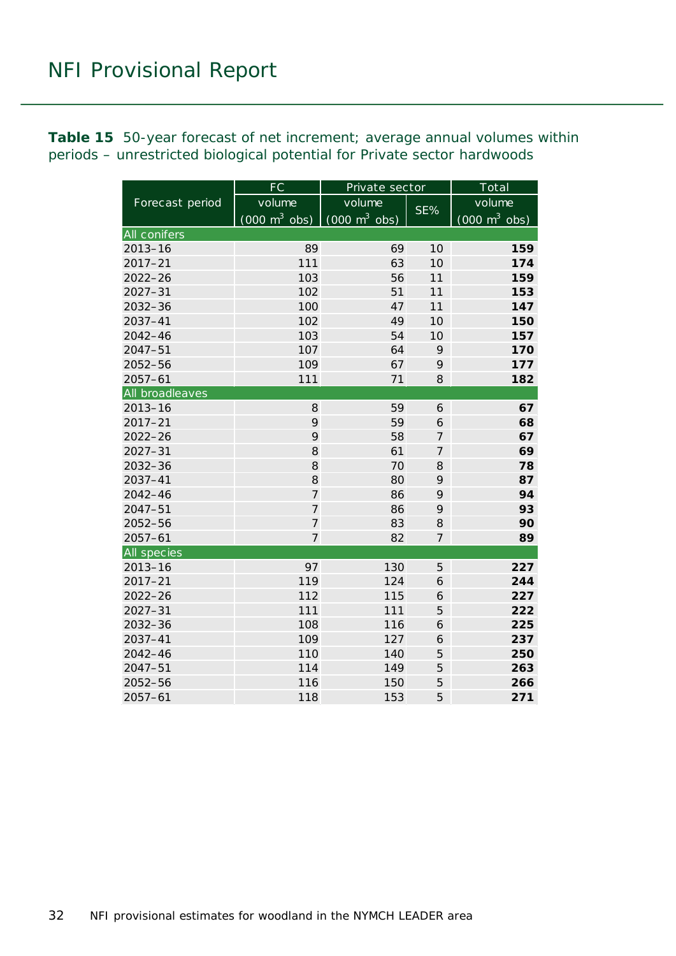<span id="page-31-0"></span>**Table 15** 50-year forecast of net increment; average annual volumes within periods – unrestricted biological potential for Private sector hardwoods

|                 | FC                              | Private sector                  |                  | Total                           |
|-----------------|---------------------------------|---------------------------------|------------------|---------------------------------|
| Forecast period | volume                          | volume                          |                  | volume                          |
|                 | $(000 \text{ m}^3 \text{ obs})$ | $(000 \text{ m}^3 \text{ obs})$ | SE%              | $(000 \text{ m}^3 \text{ obs})$ |
| All conifers    |                                 |                                 |                  |                                 |
| $2013 - 16$     | 89                              | 69                              | 10               | 159                             |
| $2017 - 21$     | 111                             | 63                              | 10               | 174                             |
| $2022 - 26$     | 103                             | 56                              | 11               | 159                             |
| $2027 - 31$     | 102                             | 51                              | 11               | 153                             |
| $2032 - 36$     | 100                             | 47                              | 11               | 147                             |
| 2037-41         | 102                             | 49                              | 10               | 150                             |
| 2042-46         | 103                             | 54                              | 10               | 157                             |
| $2047 - 51$     | 107                             | 64                              | 9                | 170                             |
| 2052-56         | 109                             | 67                              | 9                | 177                             |
| $2057 - 61$     | 111                             | 71                              | 8                | 182                             |
| All broadleaves |                                 |                                 |                  |                                 |
| $2013 - 16$     | 8                               | 59                              | 6                | 67                              |
| $2017 - 21$     | 9                               | 59                              | 6                | 68                              |
| $2022 - 26$     | 9                               | 58                              | $\boldsymbol{7}$ | 67                              |
| $2027 - 31$     | 8                               | 61                              | $\overline{7}$   | 69                              |
| $2032 - 36$     | 8                               | 70                              | 8                | 78                              |
| $2037 - 41$     | 8                               | 80                              | 9                | 87                              |
| $2042 - 46$     | $\overline{7}$                  | 86                              | 9                | 94                              |
| $2047 - 51$     | $\overline{7}$                  | 86                              | 9                | 93                              |
| $2052 - 56$     | $\overline{7}$                  | 83                              | 8                | 90                              |
| $2057 - 61$     | $\overline{7}$                  | 82                              | $\overline{7}$   | 89                              |
| All species     |                                 |                                 |                  |                                 |
| $2013 - 16$     | 97                              | 130                             | 5                | 227                             |
| $2017 - 21$     | 119                             | 124                             | 6                | 244                             |
| $2022 - 26$     | 112                             | 115                             | 6                | 227                             |
| $2027 - 31$     | 111                             | 111                             | 5                | 222                             |
| 2032-36         | 108                             | 116                             | 6                | 225                             |
| $2037 - 41$     | 109                             | 127                             | 6                | 237                             |
| 2042-46         | 110                             | 140                             | 5                | 250                             |
| $2047 - 51$     | 114                             | 149                             | 5                | 263                             |
| 2052-56         | 116                             | 150                             | 5                | 266                             |
| $2057 - 61$     | 118                             | 153                             | 5                | 271                             |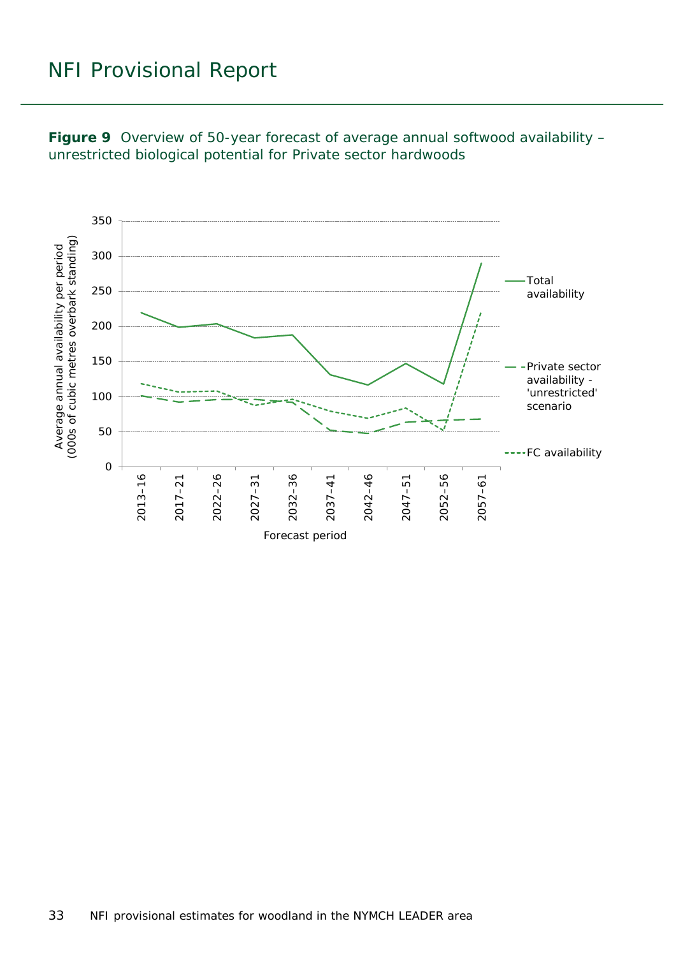<span id="page-32-0"></span>**Figure 9** Overview of 50-year forecast of average annual softwood availability – unrestricted biological potential for Private sector hardwoods

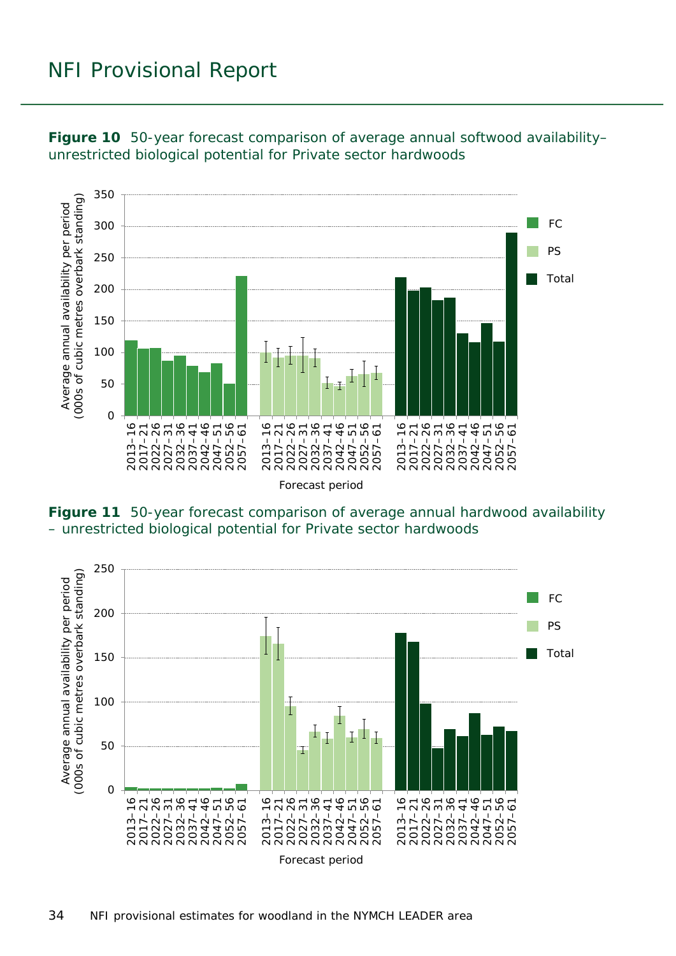

<span id="page-33-0"></span>**Figure 10** 50-year forecast comparison of average annual softwood availability– unrestricted biological potential for Private sector hardwoods

<span id="page-33-1"></span>**Figure 11** 50-year forecast comparison of average annual hardwood availability – unrestricted biological potential for Private sector hardwoods

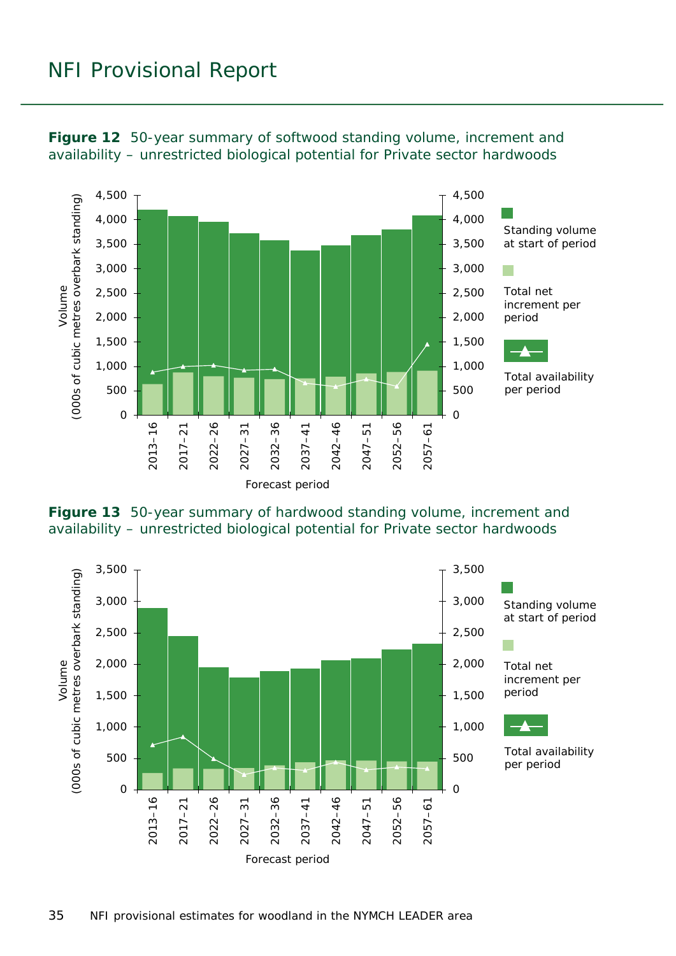

<span id="page-34-0"></span>**Figure 12** 50-year summary of softwood standing volume, increment and availability – unrestricted biological potential for Private sector hardwoods

<span id="page-34-1"></span>

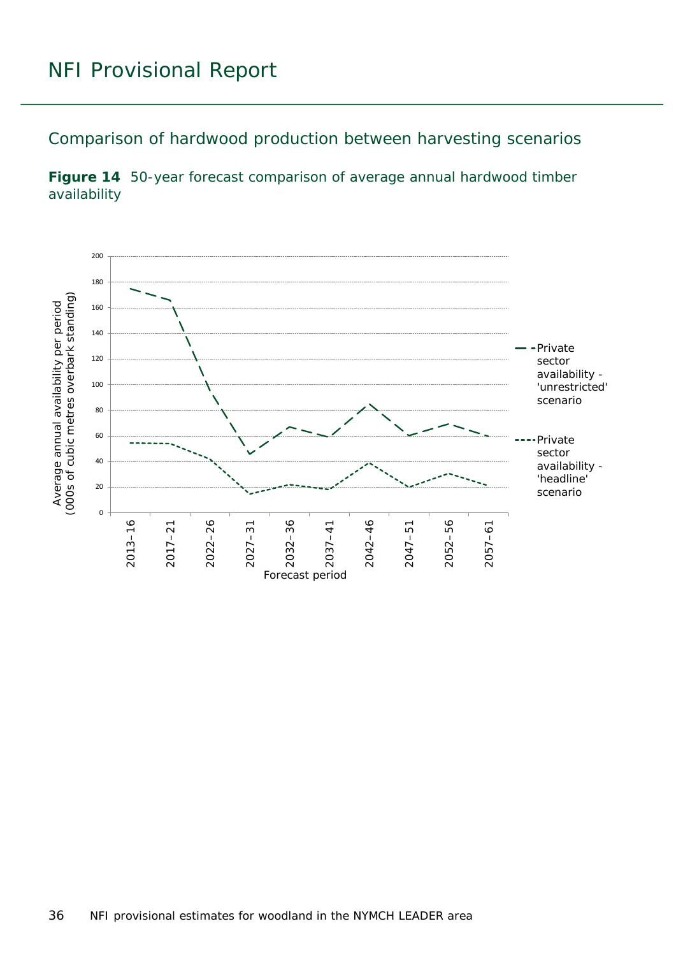<span id="page-35-0"></span>Comparison of hardwood production between harvesting scenarios

<span id="page-35-1"></span>

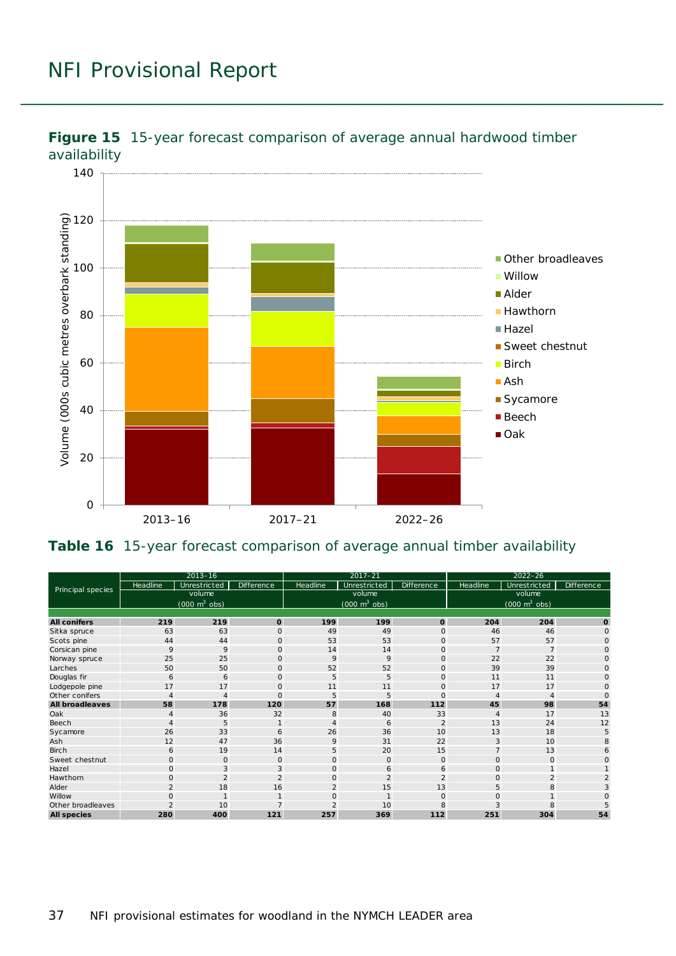

<span id="page-36-0"></span>

#### <span id="page-36-1"></span>**Table 16** 15-year forecast comparison of average annual timber availability

| Principal species      |                | $2013 - 16$                         |                   |                | $2017 - 21$                         |                | $2022 - 26$                 |                                 |                   |  |
|------------------------|----------------|-------------------------------------|-------------------|----------------|-------------------------------------|----------------|-----------------------------|---------------------------------|-------------------|--|
|                        | Headline       | Unrestricted                        | <b>Difference</b> | Headline       | Unrestricted                        | Difference     | Headline                    | Unrestricted                    | <b>Difference</b> |  |
|                        |                | volume                              |                   |                | volume                              |                |                             | volume                          |                   |  |
|                        |                | $(000 \; \text{m}^3 \; \text{obs})$ |                   |                | $(000 \; \text{m}^3 \; \text{obs})$ |                |                             | $(000 \text{ m}^3 \text{ obs})$ |                   |  |
|                        |                |                                     |                   |                |                                     |                |                             |                                 |                   |  |
| <b>All conifers</b>    | 219            | 219                                 | $\mathbf 0$       | 199            | 199                                 | $\mathbf{o}$   | 204                         | 204                             | $\Omega$          |  |
| Sitka spruce           | 63             | 63                                  | $\circ$           | 49             | 49                                  | $\mathbf{O}$   | 46                          | 46                              | $\Omega$          |  |
| Scots pine             | 44             | 44                                  | $\Omega$          | 53             | 53                                  | $\mathbf{O}$   | 57                          | 57                              | $\Omega$          |  |
| Corsican pine          | 9              | 9                                   | $\circ$           | 14             | 14                                  | $\mathbf 0$    |                             | $\overline{7}$                  | O                 |  |
| Norway spruce          | 25             | 25                                  | $\mathbf{O}$      | 9              | 9                                   | $\mathbf{O}$   | 22                          | 22                              |                   |  |
| Larches                | 50             | 50                                  | $\Omega$          | 52             | 52                                  | $\circ$        | 39                          | 39                              |                   |  |
| Douglas fir            | 6              | 6                                   | $\mathbf{O}$      | 5              | 5                                   | $\mathbf 0$    | 11                          | 11                              | $\Omega$          |  |
| Lodgepole pine         | 17             | 17                                  | $\circ$           | 11             | 11                                  | $\mathbf 0$    | 17                          | 17                              | $\Omega$          |  |
| Other conifers         | 4              | 4                                   | $\mathbf{O}$      | 5              | 5                                   | $\mathbf{O}$   |                             | 4                               | $\Omega$          |  |
| <b>All broadleaves</b> | 58             | 178                                 | 120               | 57             | 168                                 | 112            | 45                          | 98                              | 54                |  |
| Oak                    |                | 36                                  | 32                | 8              | 40                                  | 33             | $\boldsymbol{\vartriangle}$ | 17                              | 13                |  |
| Beech                  | 4              | 5                                   |                   | 4              | 6                                   | $\overline{2}$ | 13                          | 24                              | 12                |  |
| Sycamore               | 26             | 33                                  | 6                 | 26             | 36                                  | 10             | 13                          | 18                              | 5                 |  |
| Ash                    | 12             | 47                                  | 36                | 9              | 31                                  | 22             | 3                           | 10                              |                   |  |
| <b>Birch</b>           | 6              | 19                                  | 14                | 5              | 20                                  | 15             |                             | 13                              |                   |  |
| Sweet chestnut         | $\mathbf 0$    | $\mathbf{O}$                        | $\mathbf{O}$      | $\mathbf{O}$   | $\mathbf{O}$                        | $\mathbf{O}$   | $\Omega$                    | $\Omega$                        |                   |  |
| Hazel                  | $\mathsf{O}$   | 3                                   | 3                 | $\circ$        | 6                                   | 6              | $\circ$                     |                                 |                   |  |
| Hawthorn               | $\circ$        | $\mathfrak{D}$                      | $\overline{2}$    | $\mathbf{O}$   | $\overline{2}$                      | $\overline{2}$ | $\circ$                     | 2                               |                   |  |
| Alder                  | $\overline{2}$ | 18                                  | 16                | $\overline{2}$ | 15                                  | 13             | 5                           | 8                               |                   |  |
| Willow                 | $\Omega$       |                                     |                   | 0              |                                     | $\circ$        |                             |                                 |                   |  |
| Other broadleaves      |                | 10                                  |                   |                | 10                                  | 8              |                             |                                 |                   |  |
| <b>All species</b>     | 280            | 400                                 | 121               | 257            | 369                                 | 112            | 251                         | 304                             | 54                |  |